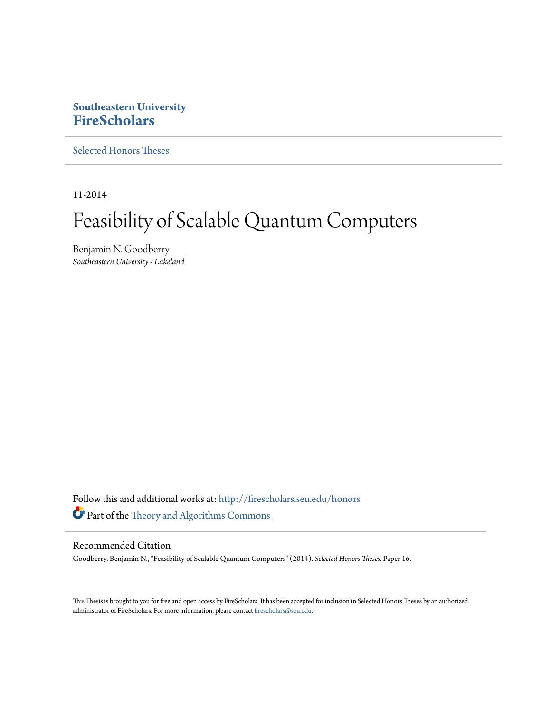# **Southeastern University [FireScholars](http://firescholars.seu.edu?utm_source=firescholars.seu.edu%2Fhonors%2F16&utm_medium=PDF&utm_campaign=PDFCoverPages)**

[Selected Honors Theses](http://firescholars.seu.edu/honors?utm_source=firescholars.seu.edu%2Fhonors%2F16&utm_medium=PDF&utm_campaign=PDFCoverPages)

11-2014

# Feasibility of Scalable Quantum Computers

Benjamin N. Goodberry *Southeastern University - Lakeland*

Follow this and additional works at: [http://firescholars.seu.edu/honors](http://firescholars.seu.edu/honors?utm_source=firescholars.seu.edu%2Fhonors%2F16&utm_medium=PDF&utm_campaign=PDFCoverPages) Part of the [Theory and Algorithms Commons](http://network.bepress.com/hgg/discipline/151?utm_source=firescholars.seu.edu%2Fhonors%2F16&utm_medium=PDF&utm_campaign=PDFCoverPages)

#### Recommended Citation

Goodberry, Benjamin N., "Feasibility of Scalable Quantum Computers" (2014). *Selected Honors Theses.* Paper 16.

This Thesis is brought to you for free and open access by FireScholars. It has been accepted for inclusion in Selected Honors Theses by an authorized administrator of FireScholars. For more information, please contact [firescholars@seu.edu](mailto:firescholars@seu.edu).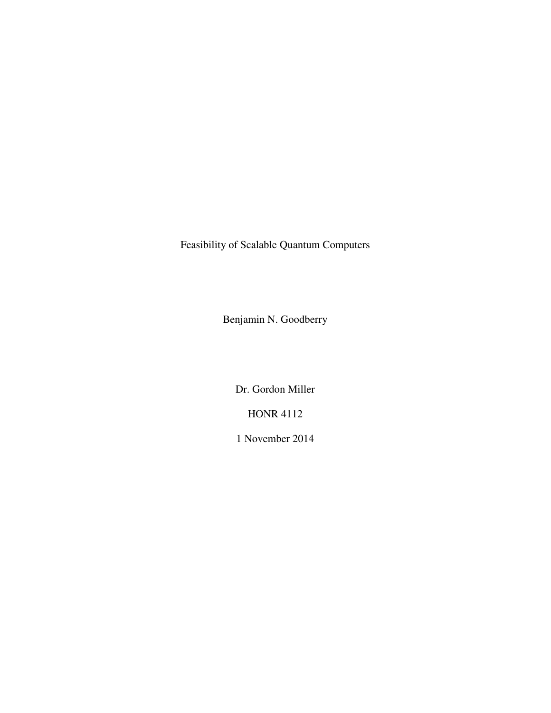Feasibility of Scalable Quantum Computers

Benjamin N. Goodberry

Dr. Gordon Miller

HONR 4112

1 November 2014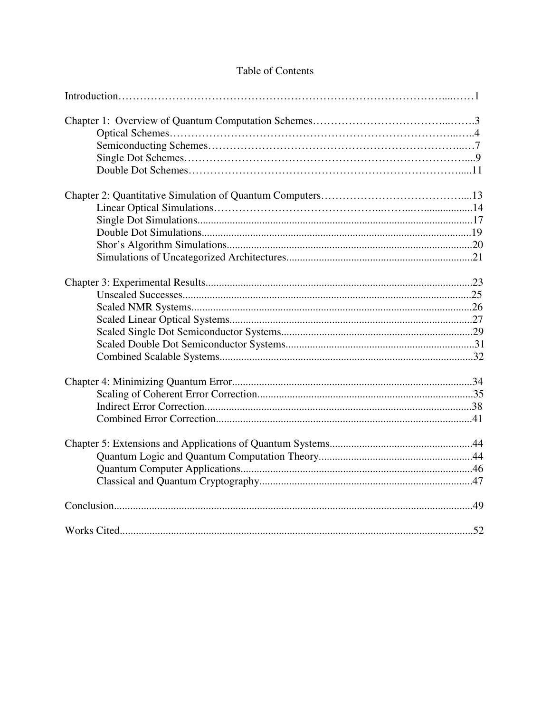# Table of Contents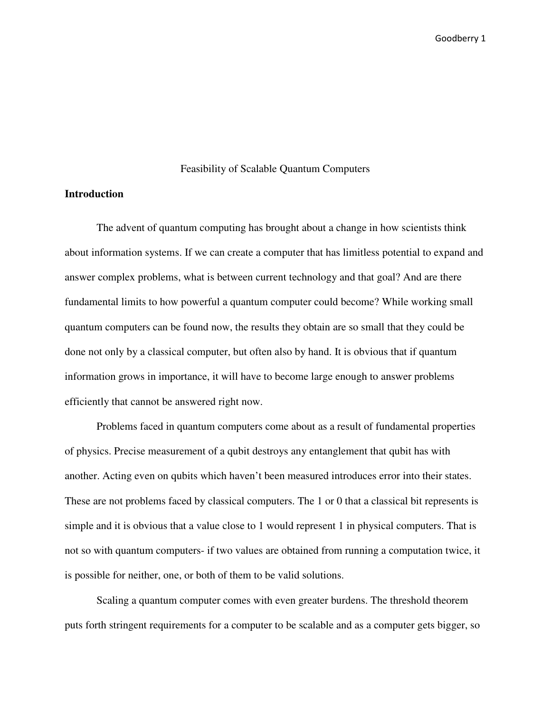#### Feasibility of Scalable Quantum Computers

## **Introduction**

The advent of quantum computing has brought about a change in how scientists think about information systems. If we can create a computer that has limitless potential to expand and answer complex problems, what is between current technology and that goal? And are there fundamental limits to how powerful a quantum computer could become? While working small quantum computers can be found now, the results they obtain are so small that they could be done not only by a classical computer, but often also by hand. It is obvious that if quantum information grows in importance, it will have to become large enough to answer problems efficiently that cannot be answered right now.

Problems faced in quantum computers come about as a result of fundamental properties of physics. Precise measurement of a qubit destroys any entanglement that qubit has with another. Acting even on qubits which haven't been measured introduces error into their states. These are not problems faced by classical computers. The 1 or 0 that a classical bit represents is simple and it is obvious that a value close to 1 would represent 1 in physical computers. That is not so with quantum computers- if two values are obtained from running a computation twice, it is possible for neither, one, or both of them to be valid solutions.

Scaling a quantum computer comes with even greater burdens. The threshold theorem puts forth stringent requirements for a computer to be scalable and as a computer gets bigger, so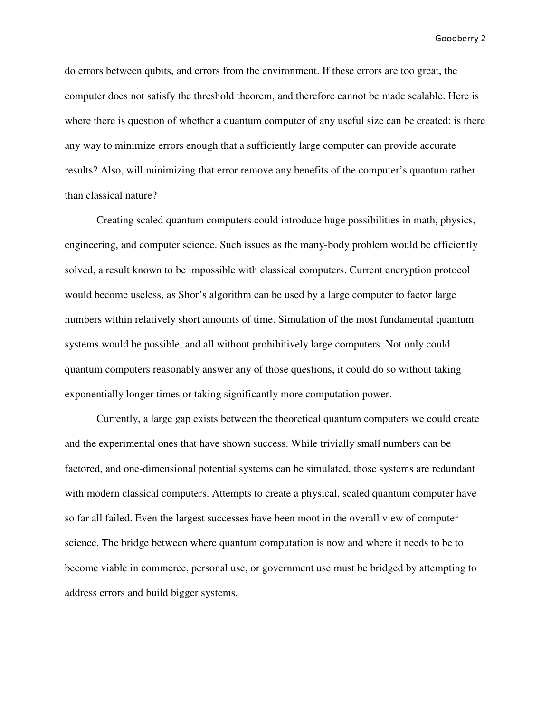do errors between qubits, and errors from the environment. If these errors are too great, the computer does not satisfy the threshold theorem, and therefore cannot be made scalable. Here is where there is question of whether a quantum computer of any useful size can be created: is there any way to minimize errors enough that a sufficiently large computer can provide accurate results? Also, will minimizing that error remove any benefits of the computer's quantum rather than classical nature?

Creating scaled quantum computers could introduce huge possibilities in math, physics, engineering, and computer science. Such issues as the many-body problem would be efficiently solved, a result known to be impossible with classical computers. Current encryption protocol would become useless, as Shor's algorithm can be used by a large computer to factor large numbers within relatively short amounts of time. Simulation of the most fundamental quantum systems would be possible, and all without prohibitively large computers. Not only could quantum computers reasonably answer any of those questions, it could do so without taking exponentially longer times or taking significantly more computation power.

 Currently, a large gap exists between the theoretical quantum computers we could create and the experimental ones that have shown success. While trivially small numbers can be factored, and one-dimensional potential systems can be simulated, those systems are redundant with modern classical computers. Attempts to create a physical, scaled quantum computer have so far all failed. Even the largest successes have been moot in the overall view of computer science. The bridge between where quantum computation is now and where it needs to be to become viable in commerce, personal use, or government use must be bridged by attempting to address errors and build bigger systems.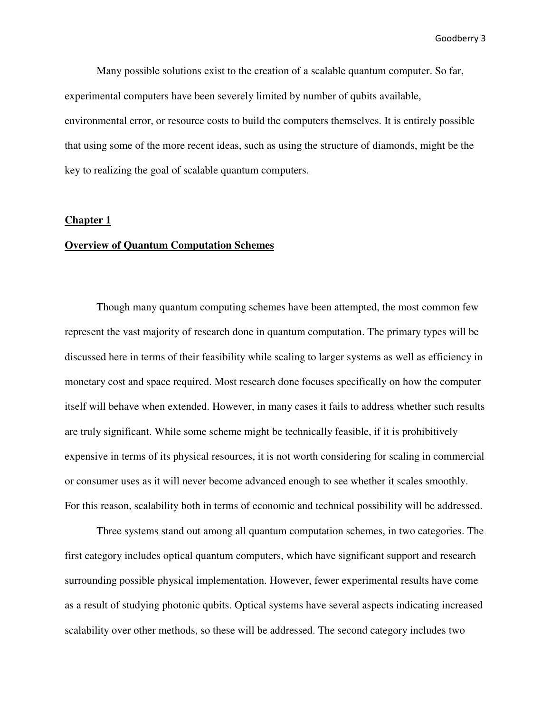Many possible solutions exist to the creation of a scalable quantum computer. So far, experimental computers have been severely limited by number of qubits available, environmental error, or resource costs to build the computers themselves. It is entirely possible that using some of the more recent ideas, such as using the structure of diamonds, might be the key to realizing the goal of scalable quantum computers.

#### **Chapter 1**

#### **Overview of Quantum Computation Schemes**

Though many quantum computing schemes have been attempted, the most common few represent the vast majority of research done in quantum computation. The primary types will be discussed here in terms of their feasibility while scaling to larger systems as well as efficiency in monetary cost and space required. Most research done focuses specifically on how the computer itself will behave when extended. However, in many cases it fails to address whether such results are truly significant. While some scheme might be technically feasible, if it is prohibitively expensive in terms of its physical resources, it is not worth considering for scaling in commercial or consumer uses as it will never become advanced enough to see whether it scales smoothly. For this reason, scalability both in terms of economic and technical possibility will be addressed.

Three systems stand out among all quantum computation schemes, in two categories. The first category includes optical quantum computers, which have significant support and research surrounding possible physical implementation. However, fewer experimental results have come as a result of studying photonic qubits. Optical systems have several aspects indicating increased scalability over other methods, so these will be addressed. The second category includes two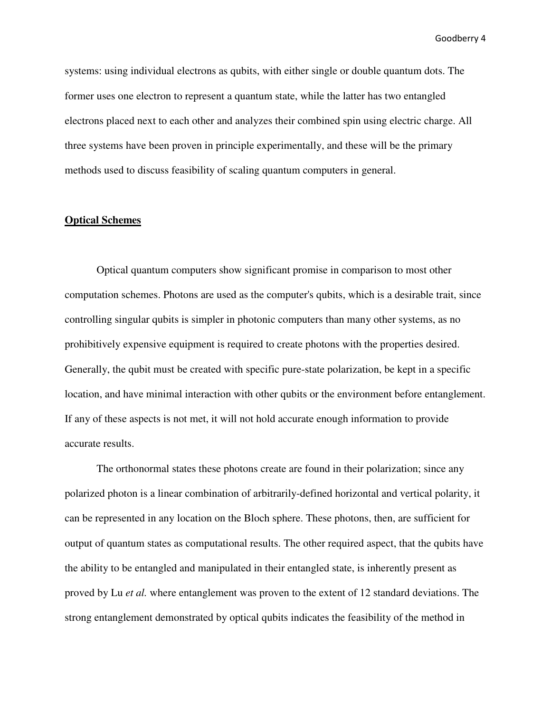systems: using individual electrons as qubits, with either single or double quantum dots. The former uses one electron to represent a quantum state, while the latter has two entangled electrons placed next to each other and analyzes their combined spin using electric charge. All three systems have been proven in principle experimentally, and these will be the primary methods used to discuss feasibility of scaling quantum computers in general.

#### **Optical Schemes**

Optical quantum computers show significant promise in comparison to most other computation schemes. Photons are used as the computer's qubits, which is a desirable trait, since controlling singular qubits is simpler in photonic computers than many other systems, as no prohibitively expensive equipment is required to create photons with the properties desired. Generally, the qubit must be created with specific pure-state polarization, be kept in a specific location, and have minimal interaction with other qubits or the environment before entanglement. If any of these aspects is not met, it will not hold accurate enough information to provide accurate results.

The orthonormal states these photons create are found in their polarization; since any polarized photon is a linear combination of arbitrarily-defined horizontal and vertical polarity, it can be represented in any location on the Bloch sphere. These photons, then, are sufficient for output of quantum states as computational results. The other required aspect, that the qubits have the ability to be entangled and manipulated in their entangled state, is inherently present as proved by Lu *et al.* where entanglement was proven to the extent of 12 standard deviations. The strong entanglement demonstrated by optical qubits indicates the feasibility of the method in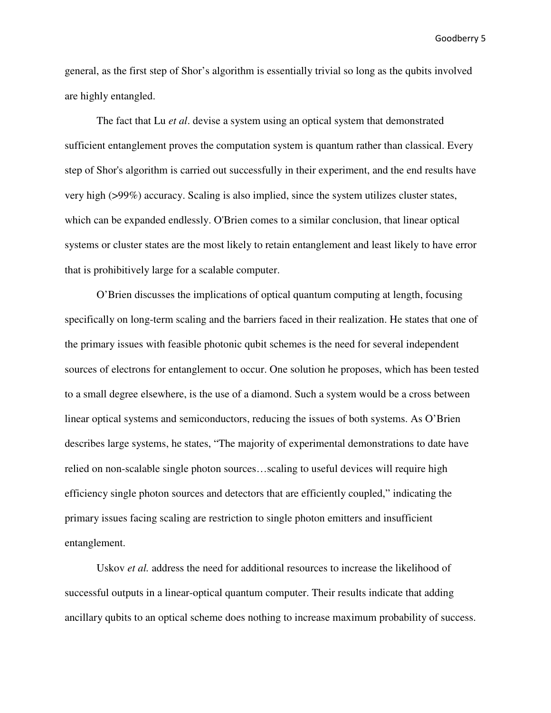general, as the first step of Shor's algorithm is essentially trivial so long as the qubits involved are highly entangled.

The fact that Lu *et al*. devise a system using an optical system that demonstrated sufficient entanglement proves the computation system is quantum rather than classical. Every step of Shor's algorithm is carried out successfully in their experiment, and the end results have very high (>99%) accuracy. Scaling is also implied, since the system utilizes cluster states, which can be expanded endlessly. O'Brien comes to a similar conclusion, that linear optical systems or cluster states are the most likely to retain entanglement and least likely to have error that is prohibitively large for a scalable computer.

O'Brien discusses the implications of optical quantum computing at length, focusing specifically on long-term scaling and the barriers faced in their realization. He states that one of the primary issues with feasible photonic qubit schemes is the need for several independent sources of electrons for entanglement to occur. One solution he proposes, which has been tested to a small degree elsewhere, is the use of a diamond. Such a system would be a cross between linear optical systems and semiconductors, reducing the issues of both systems. As O'Brien describes large systems, he states, "The majority of experimental demonstrations to date have relied on non-scalable single photon sources…scaling to useful devices will require high efficiency single photon sources and detectors that are efficiently coupled," indicating the primary issues facing scaling are restriction to single photon emitters and insufficient entanglement.

Uskov *et al.* address the need for additional resources to increase the likelihood of successful outputs in a linear-optical quantum computer. Their results indicate that adding ancillary qubits to an optical scheme does nothing to increase maximum probability of success.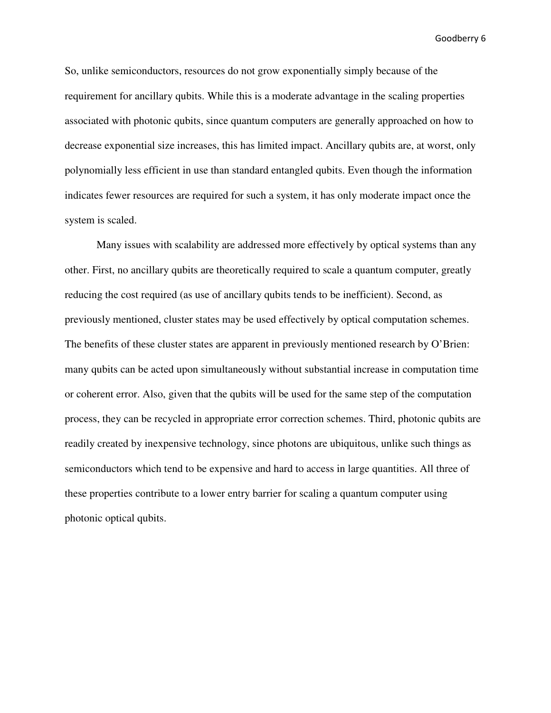So, unlike semiconductors, resources do not grow exponentially simply because of the requirement for ancillary qubits. While this is a moderate advantage in the scaling properties associated with photonic qubits, since quantum computers are generally approached on how to decrease exponential size increases, this has limited impact. Ancillary qubits are, at worst, only polynomially less efficient in use than standard entangled qubits. Even though the information indicates fewer resources are required for such a system, it has only moderate impact once the system is scaled.

Many issues with scalability are addressed more effectively by optical systems than any other. First, no ancillary qubits are theoretically required to scale a quantum computer, greatly reducing the cost required (as use of ancillary qubits tends to be inefficient). Second, as previously mentioned, cluster states may be used effectively by optical computation schemes. The benefits of these cluster states are apparent in previously mentioned research by O'Brien: many qubits can be acted upon simultaneously without substantial increase in computation time or coherent error. Also, given that the qubits will be used for the same step of the computation process, they can be recycled in appropriate error correction schemes. Third, photonic qubits are readily created by inexpensive technology, since photons are ubiquitous, unlike such things as semiconductors which tend to be expensive and hard to access in large quantities. All three of these properties contribute to a lower entry barrier for scaling a quantum computer using photonic optical qubits.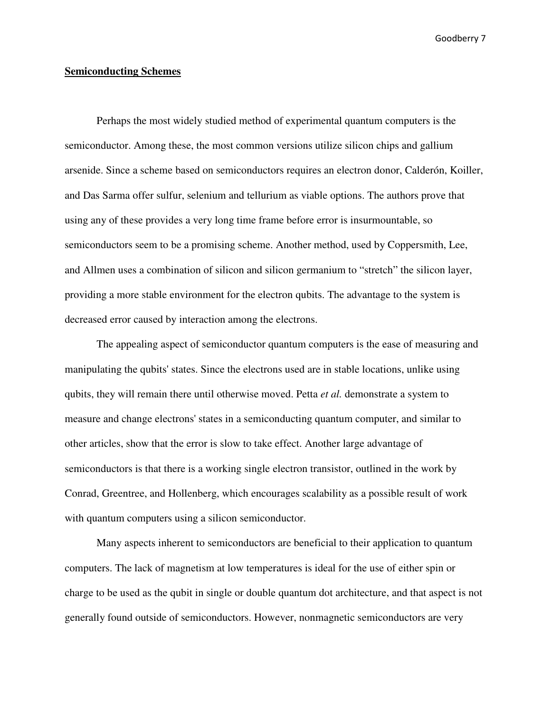#### **Semiconducting Schemes**

Perhaps the most widely studied method of experimental quantum computers is the semiconductor. Among these, the most common versions utilize silicon chips and gallium arsenide. Since a scheme based on semiconductors requires an electron donor, Calderón, Koiller, and Das Sarma offer sulfur, selenium and tellurium as viable options. The authors prove that using any of these provides a very long time frame before error is insurmountable, so semiconductors seem to be a promising scheme. Another method, used by Coppersmith, Lee, and Allmen uses a combination of silicon and silicon germanium to "stretch" the silicon layer, providing a more stable environment for the electron qubits. The advantage to the system is decreased error caused by interaction among the electrons.

The appealing aspect of semiconductor quantum computers is the ease of measuring and manipulating the qubits' states. Since the electrons used are in stable locations, unlike using qubits, they will remain there until otherwise moved. Petta *et al.* demonstrate a system to measure and change electrons' states in a semiconducting quantum computer, and similar to other articles, show that the error is slow to take effect. Another large advantage of semiconductors is that there is a working single electron transistor, outlined in the work by Conrad, Greentree, and Hollenberg, which encourages scalability as a possible result of work with quantum computers using a silicon semiconductor.

Many aspects inherent to semiconductors are beneficial to their application to quantum computers. The lack of magnetism at low temperatures is ideal for the use of either spin or charge to be used as the qubit in single or double quantum dot architecture, and that aspect is not generally found outside of semiconductors. However, nonmagnetic semiconductors are very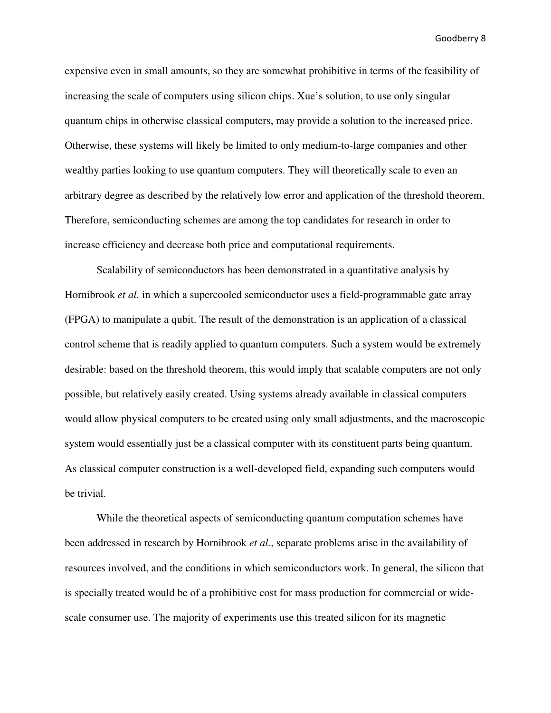expensive even in small amounts, so they are somewhat prohibitive in terms of the feasibility of increasing the scale of computers using silicon chips. Xue's solution, to use only singular quantum chips in otherwise classical computers, may provide a solution to the increased price. Otherwise, these systems will likely be limited to only medium-to-large companies and other wealthy parties looking to use quantum computers. They will theoretically scale to even an arbitrary degree as described by the relatively low error and application of the threshold theorem. Therefore, semiconducting schemes are among the top candidates for research in order to increase efficiency and decrease both price and computational requirements.

Scalability of semiconductors has been demonstrated in a quantitative analysis by Hornibrook *et al.* in which a supercooled semiconductor uses a field-programmable gate array (FPGA) to manipulate a qubit. The result of the demonstration is an application of a classical control scheme that is readily applied to quantum computers. Such a system would be extremely desirable: based on the threshold theorem, this would imply that scalable computers are not only possible, but relatively easily created. Using systems already available in classical computers would allow physical computers to be created using only small adjustments, and the macroscopic system would essentially just be a classical computer with its constituent parts being quantum. As classical computer construction is a well-developed field, expanding such computers would be trivial.

While the theoretical aspects of semiconducting quantum computation schemes have been addressed in research by Hornibrook *et al.*, separate problems arise in the availability of resources involved, and the conditions in which semiconductors work. In general, the silicon that is specially treated would be of a prohibitive cost for mass production for commercial or widescale consumer use. The majority of experiments use this treated silicon for its magnetic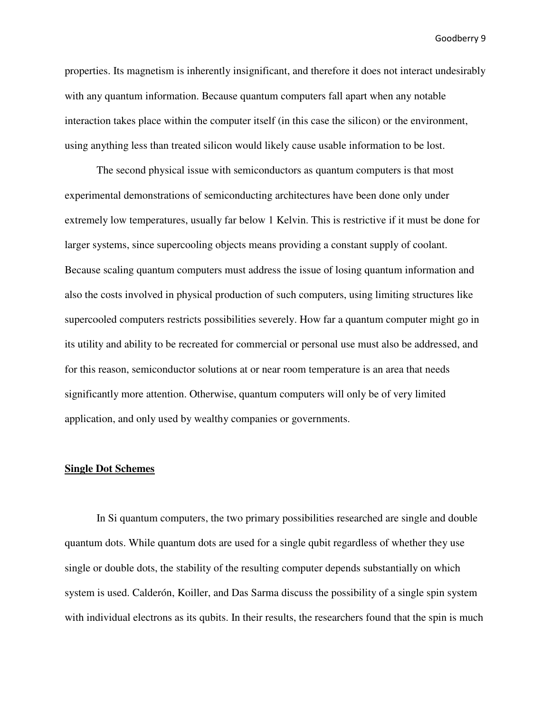properties. Its magnetism is inherently insignificant, and therefore it does not interact undesirably with any quantum information. Because quantum computers fall apart when any notable interaction takes place within the computer itself (in this case the silicon) or the environment, using anything less than treated silicon would likely cause usable information to be lost.

The second physical issue with semiconductors as quantum computers is that most experimental demonstrations of semiconducting architectures have been done only under extremely low temperatures, usually far below 1 Kelvin. This is restrictive if it must be done for larger systems, since supercooling objects means providing a constant supply of coolant. Because scaling quantum computers must address the issue of losing quantum information and also the costs involved in physical production of such computers, using limiting structures like supercooled computers restricts possibilities severely. How far a quantum computer might go in its utility and ability to be recreated for commercial or personal use must also be addressed, and for this reason, semiconductor solutions at or near room temperature is an area that needs significantly more attention. Otherwise, quantum computers will only be of very limited application, and only used by wealthy companies or governments.

#### **Single Dot Schemes**

In Si quantum computers, the two primary possibilities researched are single and double quantum dots. While quantum dots are used for a single qubit regardless of whether they use single or double dots, the stability of the resulting computer depends substantially on which system is used. Calderón, Koiller, and Das Sarma discuss the possibility of a single spin system with individual electrons as its qubits. In their results, the researchers found that the spin is much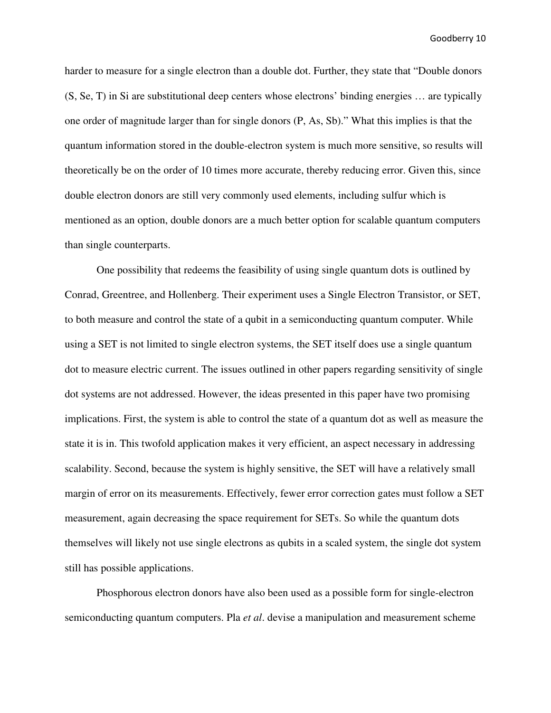harder to measure for a single electron than a double dot. Further, they state that "Double donors (S, Se, T) in Si are substitutional deep centers whose electrons' binding energies … are typically one order of magnitude larger than for single donors (P, As, Sb)." What this implies is that the quantum information stored in the double-electron system is much more sensitive, so results will theoretically be on the order of 10 times more accurate, thereby reducing error. Given this, since double electron donors are still very commonly used elements, including sulfur which is mentioned as an option, double donors are a much better option for scalable quantum computers than single counterparts.

One possibility that redeems the feasibility of using single quantum dots is outlined by Conrad, Greentree, and Hollenberg. Their experiment uses a Single Electron Transistor, or SET, to both measure and control the state of a qubit in a semiconducting quantum computer. While using a SET is not limited to single electron systems, the SET itself does use a single quantum dot to measure electric current. The issues outlined in other papers regarding sensitivity of single dot systems are not addressed. However, the ideas presented in this paper have two promising implications. First, the system is able to control the state of a quantum dot as well as measure the state it is in. This twofold application makes it very efficient, an aspect necessary in addressing scalability. Second, because the system is highly sensitive, the SET will have a relatively small margin of error on its measurements. Effectively, fewer error correction gates must follow a SET measurement, again decreasing the space requirement for SETs. So while the quantum dots themselves will likely not use single electrons as qubits in a scaled system, the single dot system still has possible applications.

Phosphorous electron donors have also been used as a possible form for single-electron semiconducting quantum computers. Pla *et al*. devise a manipulation and measurement scheme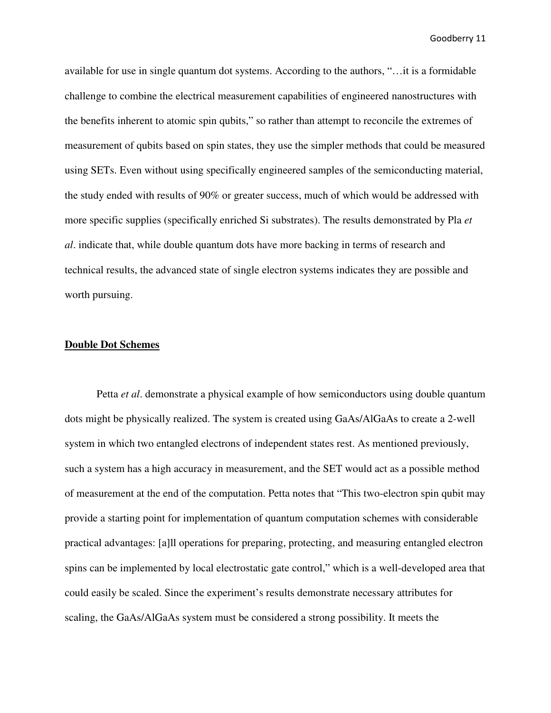available for use in single quantum dot systems. According to the authors, "…it is a formidable challenge to combine the electrical measurement capabilities of engineered nanostructures with the benefits inherent to atomic spin qubits," so rather than attempt to reconcile the extremes of measurement of qubits based on spin states, they use the simpler methods that could be measured using SETs. Even without using specifically engineered samples of the semiconducting material, the study ended with results of 90% or greater success, much of which would be addressed with more specific supplies (specifically enriched Si substrates). The results demonstrated by Pla *et al*. indicate that, while double quantum dots have more backing in terms of research and technical results, the advanced state of single electron systems indicates they are possible and worth pursuing.

#### **Double Dot Schemes**

Petta *et al*. demonstrate a physical example of how semiconductors using double quantum dots might be physically realized. The system is created using GaAs/AlGaAs to create a 2-well system in which two entangled electrons of independent states rest. As mentioned previously, such a system has a high accuracy in measurement, and the SET would act as a possible method of measurement at the end of the computation. Petta notes that "This two-electron spin qubit may provide a starting point for implementation of quantum computation schemes with considerable practical advantages: [a]ll operations for preparing, protecting, and measuring entangled electron spins can be implemented by local electrostatic gate control," which is a well-developed area that could easily be scaled. Since the experiment's results demonstrate necessary attributes for scaling, the GaAs/AlGaAs system must be considered a strong possibility. It meets the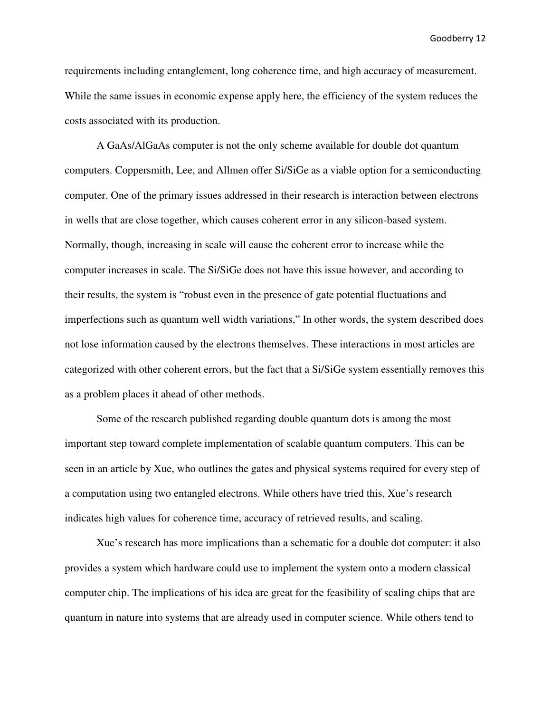requirements including entanglement, long coherence time, and high accuracy of measurement. While the same issues in economic expense apply here, the efficiency of the system reduces the costs associated with its production.

A GaAs/AlGaAs computer is not the only scheme available for double dot quantum computers. Coppersmith, Lee, and Allmen offer Si/SiGe as a viable option for a semiconducting computer. One of the primary issues addressed in their research is interaction between electrons in wells that are close together, which causes coherent error in any silicon-based system. Normally, though, increasing in scale will cause the coherent error to increase while the computer increases in scale. The Si/SiGe does not have this issue however, and according to their results, the system is "robust even in the presence of gate potential fluctuations and imperfections such as quantum well width variations," In other words, the system described does not lose information caused by the electrons themselves. These interactions in most articles are categorized with other coherent errors, but the fact that a Si/SiGe system essentially removes this as a problem places it ahead of other methods.

Some of the research published regarding double quantum dots is among the most important step toward complete implementation of scalable quantum computers. This can be seen in an article by Xue, who outlines the gates and physical systems required for every step of a computation using two entangled electrons. While others have tried this, Xue's research indicates high values for coherence time, accuracy of retrieved results, and scaling.

Xue's research has more implications than a schematic for a double dot computer: it also provides a system which hardware could use to implement the system onto a modern classical computer chip. The implications of his idea are great for the feasibility of scaling chips that are quantum in nature into systems that are already used in computer science. While others tend to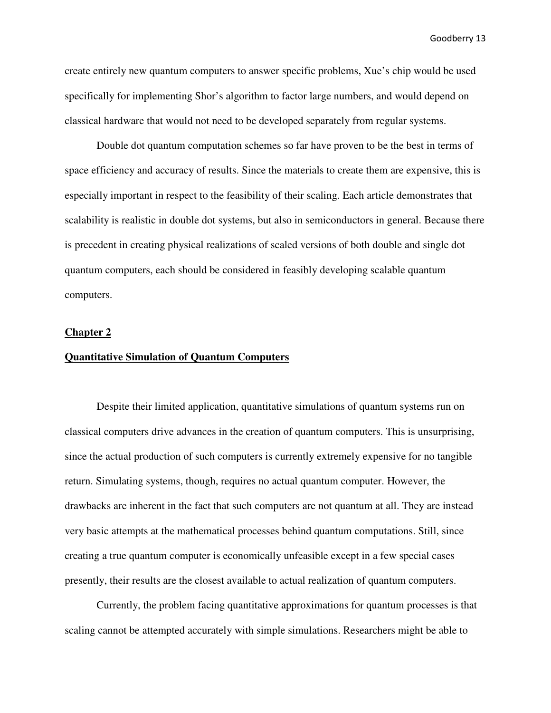create entirely new quantum computers to answer specific problems, Xue's chip would be used specifically for implementing Shor's algorithm to factor large numbers, and would depend on classical hardware that would not need to be developed separately from regular systems.

Double dot quantum computation schemes so far have proven to be the best in terms of space efficiency and accuracy of results. Since the materials to create them are expensive, this is especially important in respect to the feasibility of their scaling. Each article demonstrates that scalability is realistic in double dot systems, but also in semiconductors in general. Because there is precedent in creating physical realizations of scaled versions of both double and single dot quantum computers, each should be considered in feasibly developing scalable quantum computers.

#### **Chapter 2**

#### **Quantitative Simulation of Quantum Computers**

 Despite their limited application, quantitative simulations of quantum systems run on classical computers drive advances in the creation of quantum computers. This is unsurprising, since the actual production of such computers is currently extremely expensive for no tangible return. Simulating systems, though, requires no actual quantum computer. However, the drawbacks are inherent in the fact that such computers are not quantum at all. They are instead very basic attempts at the mathematical processes behind quantum computations. Still, since creating a true quantum computer is economically unfeasible except in a few special cases presently, their results are the closest available to actual realization of quantum computers.

 Currently, the problem facing quantitative approximations for quantum processes is that scaling cannot be attempted accurately with simple simulations. Researchers might be able to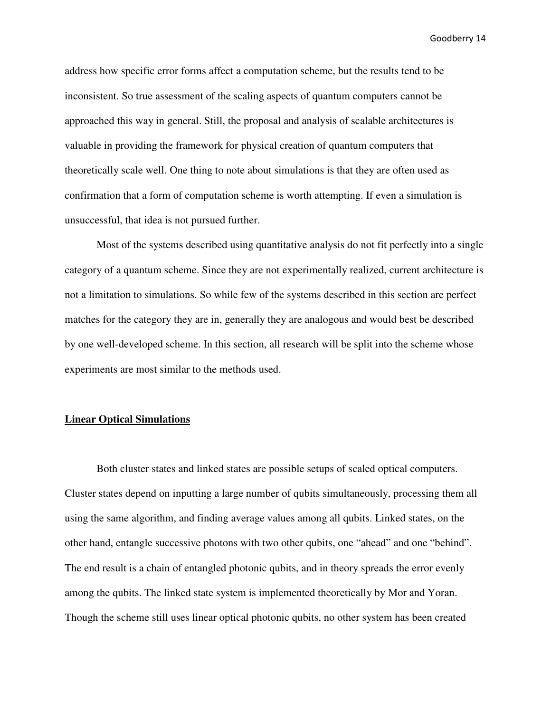address how specific error forms affect a computation scheme, but the results tend to be inconsistent. So true assessment of the scaling aspects of quantum computers cannot be approached this way in general. Still, the proposal and analysis of scalable architectures is valuable in providing the framework for physical creation of quantum computers that theoretically scale well. One thing to note about simulations is that they are often used as confirmation that a form of computation scheme is worth attempting. If even a simulation is unsuccessful, that idea is not pursued further.

 Most of the systems described using quantitative analysis do not fit perfectly into a single category of a quantum scheme. Since they are not experimentally realized, current architecture is not a limitation to simulations. So while few of the systems described in this section are perfect matches for the category they are in, generally they are analogous and would best be described by one well-developed scheme. In this section, all research will be split into the scheme whose experiments are most similar to the methods used.

#### **Linear Optical Simulations**

 Both cluster states and linked states are possible setups of scaled optical computers. Cluster states depend on inputting a large number of qubits simultaneously, processing them all using the same algorithm, and finding average values among all qubits. Linked states, on the other hand, entangle successive photons with two other qubits, one "ahead" and one "behind". The end result is a chain of entangled photonic qubits, and in theory spreads the error evenly among the qubits. The linked state system is implemented theoretically by Mor and Yoran. Though the scheme still uses linear optical photonic qubits, no other system has been created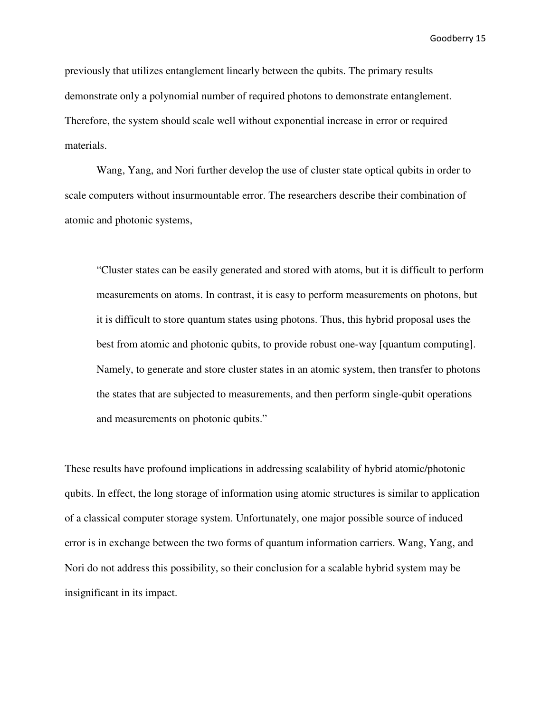previously that utilizes entanglement linearly between the qubits. The primary results demonstrate only a polynomial number of required photons to demonstrate entanglement. Therefore, the system should scale well without exponential increase in error or required materials.

 Wang, Yang, and Nori further develop the use of cluster state optical qubits in order to scale computers without insurmountable error. The researchers describe their combination of atomic and photonic systems,

"Cluster states can be easily generated and stored with atoms, but it is difficult to perform measurements on atoms. In contrast, it is easy to perform measurements on photons, but it is difficult to store quantum states using photons. Thus, this hybrid proposal uses the best from atomic and photonic qubits, to provide robust one-way [quantum computing]. Namely, to generate and store cluster states in an atomic system, then transfer to photons the states that are subjected to measurements, and then perform single-qubit operations and measurements on photonic qubits."

These results have profound implications in addressing scalability of hybrid atomic/photonic qubits. In effect, the long storage of information using atomic structures is similar to application of a classical computer storage system. Unfortunately, one major possible source of induced error is in exchange between the two forms of quantum information carriers. Wang, Yang, and Nori do not address this possibility, so their conclusion for a scalable hybrid system may be insignificant in its impact.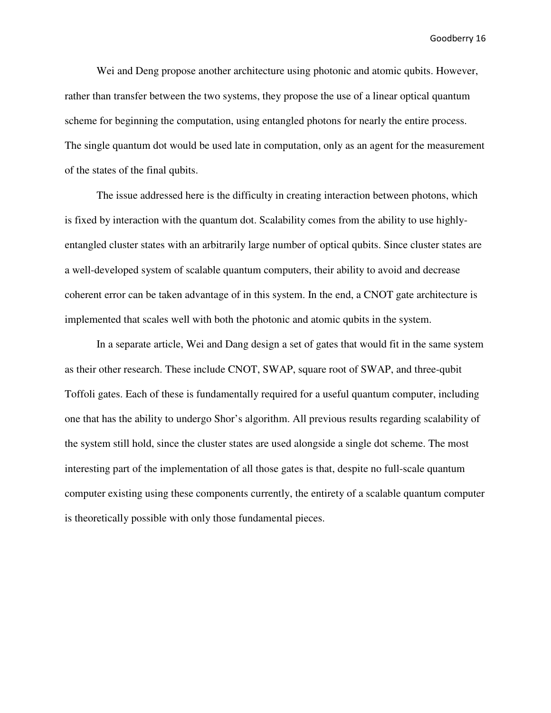Wei and Deng propose another architecture using photonic and atomic qubits. However, rather than transfer between the two systems, they propose the use of a linear optical quantum scheme for beginning the computation, using entangled photons for nearly the entire process. The single quantum dot would be used late in computation, only as an agent for the measurement of the states of the final qubits.

The issue addressed here is the difficulty in creating interaction between photons, which is fixed by interaction with the quantum dot. Scalability comes from the ability to use highlyentangled cluster states with an arbitrarily large number of optical qubits. Since cluster states are a well-developed system of scalable quantum computers, their ability to avoid and decrease coherent error can be taken advantage of in this system. In the end, a CNOT gate architecture is implemented that scales well with both the photonic and atomic qubits in the system.

 In a separate article, Wei and Dang design a set of gates that would fit in the same system as their other research. These include CNOT, SWAP, square root of SWAP, and three-qubit Toffoli gates. Each of these is fundamentally required for a useful quantum computer, including one that has the ability to undergo Shor's algorithm. All previous results regarding scalability of the system still hold, since the cluster states are used alongside a single dot scheme. The most interesting part of the implementation of all those gates is that, despite no full-scale quantum computer existing using these components currently, the entirety of a scalable quantum computer is theoretically possible with only those fundamental pieces.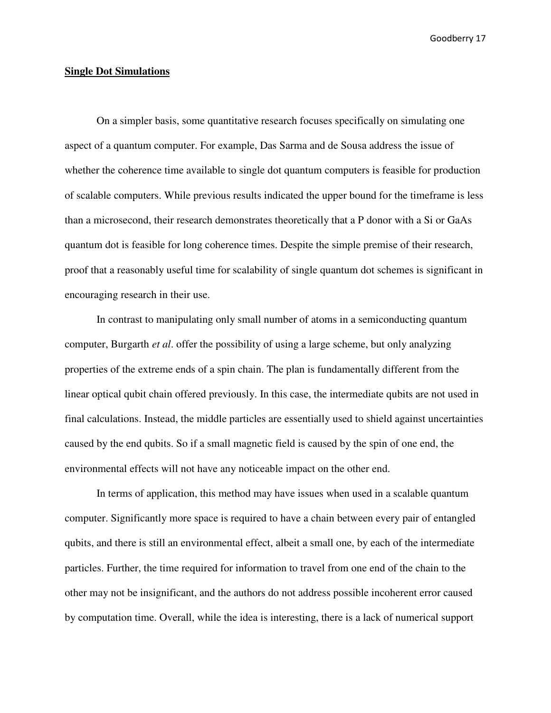#### **Single Dot Simulations**

 On a simpler basis, some quantitative research focuses specifically on simulating one aspect of a quantum computer. For example, Das Sarma and de Sousa address the issue of whether the coherence time available to single dot quantum computers is feasible for production of scalable computers. While previous results indicated the upper bound for the timeframe is less than a microsecond, their research demonstrates theoretically that a P donor with a Si or GaAs quantum dot is feasible for long coherence times. Despite the simple premise of their research, proof that a reasonably useful time for scalability of single quantum dot schemes is significant in encouraging research in their use.

 In contrast to manipulating only small number of atoms in a semiconducting quantum computer, Burgarth *et al*. offer the possibility of using a large scheme, but only analyzing properties of the extreme ends of a spin chain. The plan is fundamentally different from the linear optical qubit chain offered previously. In this case, the intermediate qubits are not used in final calculations. Instead, the middle particles are essentially used to shield against uncertainties caused by the end qubits. So if a small magnetic field is caused by the spin of one end, the environmental effects will not have any noticeable impact on the other end.

In terms of application, this method may have issues when used in a scalable quantum computer. Significantly more space is required to have a chain between every pair of entangled qubits, and there is still an environmental effect, albeit a small one, by each of the intermediate particles. Further, the time required for information to travel from one end of the chain to the other may not be insignificant, and the authors do not address possible incoherent error caused by computation time. Overall, while the idea is interesting, there is a lack of numerical support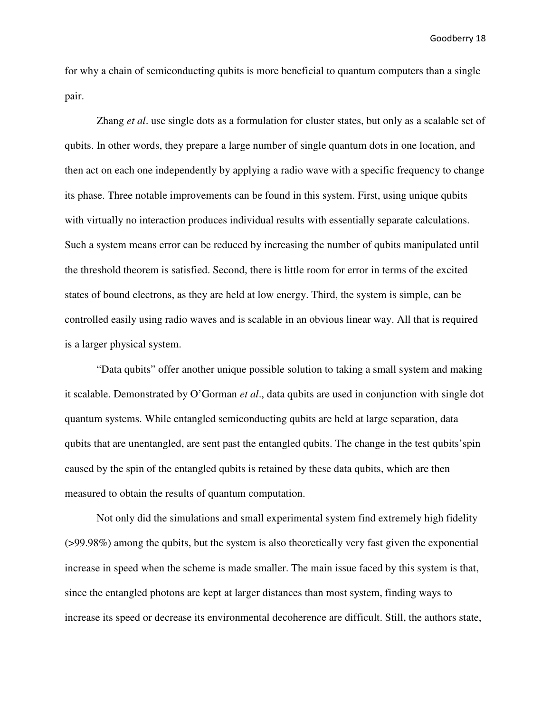for why a chain of semiconducting qubits is more beneficial to quantum computers than a single pair.

Zhang *et al*. use single dots as a formulation for cluster states, but only as a scalable set of qubits. In other words, they prepare a large number of single quantum dots in one location, and then act on each one independently by applying a radio wave with a specific frequency to change its phase. Three notable improvements can be found in this system. First, using unique qubits with virtually no interaction produces individual results with essentially separate calculations. Such a system means error can be reduced by increasing the number of qubits manipulated until the threshold theorem is satisfied. Second, there is little room for error in terms of the excited states of bound electrons, as they are held at low energy. Third, the system is simple, can be controlled easily using radio waves and is scalable in an obvious linear way. All that is required is a larger physical system.

 "Data qubits" offer another unique possible solution to taking a small system and making it scalable. Demonstrated by O'Gorman *et al*., data qubits are used in conjunction with single dot quantum systems. While entangled semiconducting qubits are held at large separation, data qubits that are unentangled, are sent past the entangled qubits. The change in the test qubits'spin caused by the spin of the entangled qubits is retained by these data qubits, which are then measured to obtain the results of quantum computation.

 Not only did the simulations and small experimental system find extremely high fidelity (>99.98%) among the qubits, but the system is also theoretically very fast given the exponential increase in speed when the scheme is made smaller. The main issue faced by this system is that, since the entangled photons are kept at larger distances than most system, finding ways to increase its speed or decrease its environmental decoherence are difficult. Still, the authors state,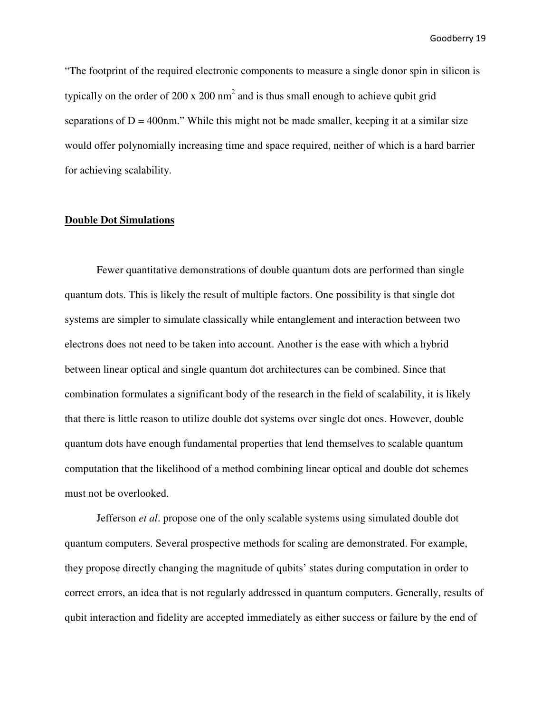"The footprint of the required electronic components to measure a single donor spin in silicon is typically on the order of 200 x 200  $\text{nm}^2$  and is thus small enough to achieve qubit grid separations of  $D = 400$ nm." While this might not be made smaller, keeping it at a similar size would offer polynomially increasing time and space required, neither of which is a hard barrier for achieving scalability.

#### **Double Dot Simulations**

 Fewer quantitative demonstrations of double quantum dots are performed than single quantum dots. This is likely the result of multiple factors. One possibility is that single dot systems are simpler to simulate classically while entanglement and interaction between two electrons does not need to be taken into account. Another is the ease with which a hybrid between linear optical and single quantum dot architectures can be combined. Since that combination formulates a significant body of the research in the field of scalability, it is likely that there is little reason to utilize double dot systems over single dot ones. However, double quantum dots have enough fundamental properties that lend themselves to scalable quantum computation that the likelihood of a method combining linear optical and double dot schemes must not be overlooked.

 Jefferson *et al*. propose one of the only scalable systems using simulated double dot quantum computers. Several prospective methods for scaling are demonstrated. For example, they propose directly changing the magnitude of qubits' states during computation in order to correct errors, an idea that is not regularly addressed in quantum computers. Generally, results of qubit interaction and fidelity are accepted immediately as either success or failure by the end of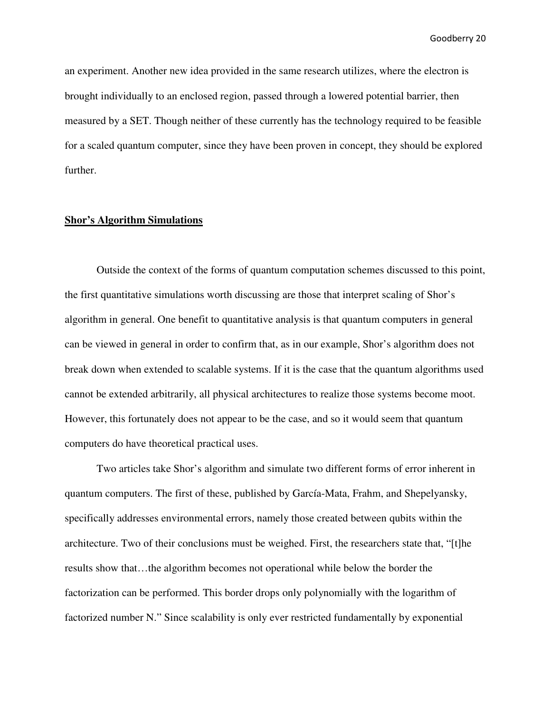an experiment. Another new idea provided in the same research utilizes, where the electron is brought individually to an enclosed region, passed through a lowered potential barrier, then measured by a SET. Though neither of these currently has the technology required to be feasible for a scaled quantum computer, since they have been proven in concept, they should be explored further.

## **Shor's Algorithm Simulations**

 Outside the context of the forms of quantum computation schemes discussed to this point, the first quantitative simulations worth discussing are those that interpret scaling of Shor's algorithm in general. One benefit to quantitative analysis is that quantum computers in general can be viewed in general in order to confirm that, as in our example, Shor's algorithm does not break down when extended to scalable systems. If it is the case that the quantum algorithms used cannot be extended arbitrarily, all physical architectures to realize those systems become moot. However, this fortunately does not appear to be the case, and so it would seem that quantum computers do have theoretical practical uses.

 Two articles take Shor's algorithm and simulate two different forms of error inherent in quantum computers. The first of these, published by García-Mata, Frahm, and Shepelyansky, specifically addresses environmental errors, namely those created between qubits within the architecture. Two of their conclusions must be weighed. First, the researchers state that, "[t]he results show that…the algorithm becomes not operational while below the border the factorization can be performed. This border drops only polynomially with the logarithm of factorized number N." Since scalability is only ever restricted fundamentally by exponential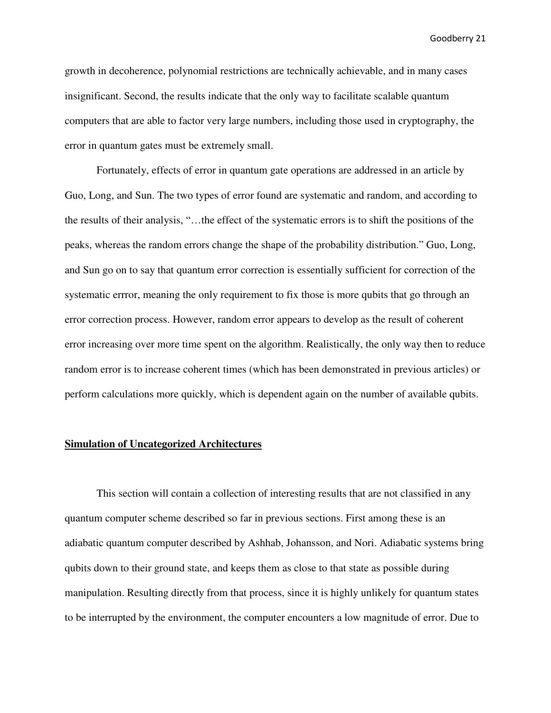growth in decoherence, polynomial restrictions are technically achievable, and in many cases insignificant. Second, the results indicate that the only way to facilitate scalable quantum computers that are able to factor very large numbers, including those used in cryptography, the error in quantum gates must be extremely small.

 Fortunately, effects of error in quantum gate operations are addressed in an article by Guo, Long, and Sun. The two types of error found are systematic and random, and according to the results of their analysis, "…the effect of the systematic errors is to shift the positions of the peaks, whereas the random errors change the shape of the probability distribution." Guo, Long, and Sun go on to say that quantum error correction is essentially sufficient for correction of the systematic errror, meaning the only requirement to fix those is more qubits that go through an error correction process. However, random error appears to develop as the result of coherent error increasing over more time spent on the algorithm. Realistically, the only way then to reduce random error is to increase coherent times (which has been demonstrated in previous articles) or perform calculations more quickly, which is dependent again on the number of available qubits.

#### **Simulation of Uncategorized Architectures**

 This section will contain a collection of interesting results that are not classified in any quantum computer scheme described so far in previous sections. First among these is an adiabatic quantum computer described by Ashhab, Johansson, and Nori. Adiabatic systems bring qubits down to their ground state, and keeps them as close to that state as possible during manipulation. Resulting directly from that process, since it is highly unlikely for quantum states to be interrupted by the environment, the computer encounters a low magnitude of error. Due to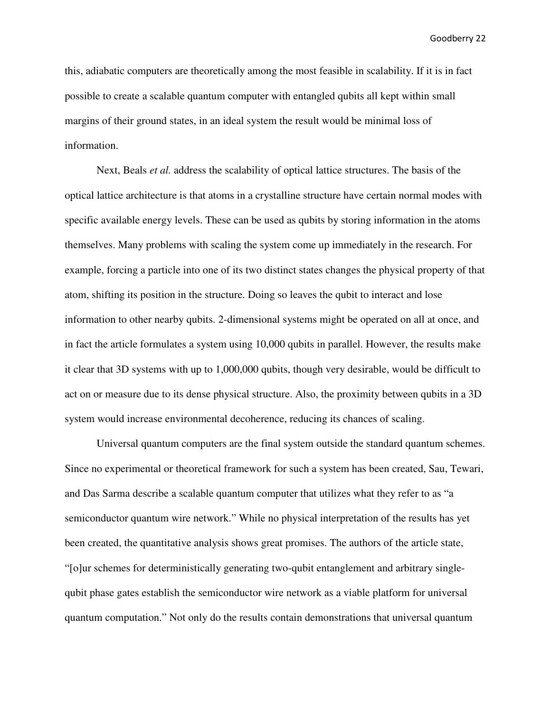this, adiabatic computers are theoretically among the most feasible in scalability. If it is in fact possible to create a scalable quantum computer with entangled qubits all kept within small margins of their ground states, in an ideal system the result would be minimal loss of information.

 Next, Beals *et al.* address the scalability of optical lattice structures. The basis of the optical lattice architecture is that atoms in a crystalline structure have certain normal modes with specific available energy levels. These can be used as qubits by storing information in the atoms themselves. Many problems with scaling the system come up immediately in the research. For example, forcing a particle into one of its two distinct states changes the physical property of that atom, shifting its position in the structure. Doing so leaves the qubit to interact and lose information to other nearby qubits. 2-dimensional systems might be operated on all at once, and in fact the article formulates a system using 10,000 qubits in parallel. However, the results make it clear that 3D systems with up to 1,000,000 qubits, though very desirable, would be difficult to act on or measure due to its dense physical structure. Also, the proximity between qubits in a 3D system would increase environmental decoherence, reducing its chances of scaling.

 Universal quantum computers are the final system outside the standard quantum schemes. Since no experimental or theoretical framework for such a system has been created, Sau, Tewari, and Das Sarma describe a scalable quantum computer that utilizes what they refer to as "a semiconductor quantum wire network." While no physical interpretation of the results has yet been created, the quantitative analysis shows great promises. The authors of the article state, "[o]ur schemes for deterministically generating two-qubit entanglement and arbitrary singlequbit phase gates establish the semiconductor wire network as a viable platform for universal quantum computation." Not only do the results contain demonstrations that universal quantum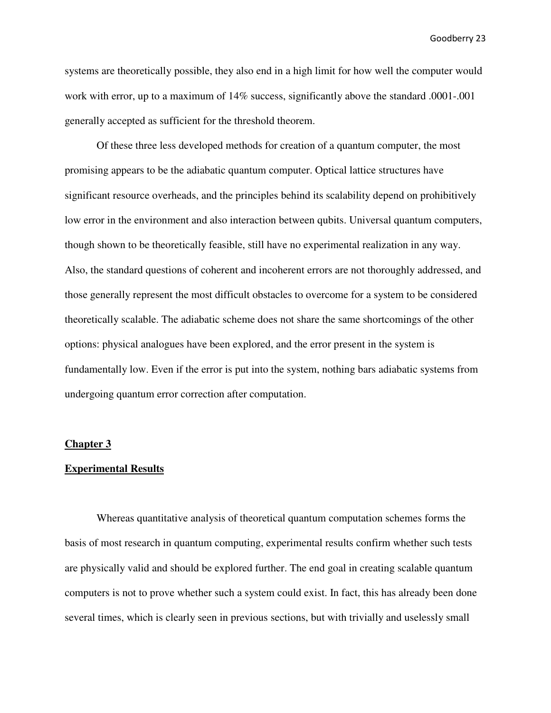systems are theoretically possible, they also end in a high limit for how well the computer would work with error, up to a maximum of 14% success, significantly above the standard .0001-.001 generally accepted as sufficient for the threshold theorem.

 Of these three less developed methods for creation of a quantum computer, the most promising appears to be the adiabatic quantum computer. Optical lattice structures have significant resource overheads, and the principles behind its scalability depend on prohibitively low error in the environment and also interaction between qubits. Universal quantum computers, though shown to be theoretically feasible, still have no experimental realization in any way. Also, the standard questions of coherent and incoherent errors are not thoroughly addressed, and those generally represent the most difficult obstacles to overcome for a system to be considered theoretically scalable. The adiabatic scheme does not share the same shortcomings of the other options: physical analogues have been explored, and the error present in the system is fundamentally low. Even if the error is put into the system, nothing bars adiabatic systems from undergoing quantum error correction after computation.

#### **Chapter 3**

#### **Experimental Results**

 Whereas quantitative analysis of theoretical quantum computation schemes forms the basis of most research in quantum computing, experimental results confirm whether such tests are physically valid and should be explored further. The end goal in creating scalable quantum computers is not to prove whether such a system could exist. In fact, this has already been done several times, which is clearly seen in previous sections, but with trivially and uselessly small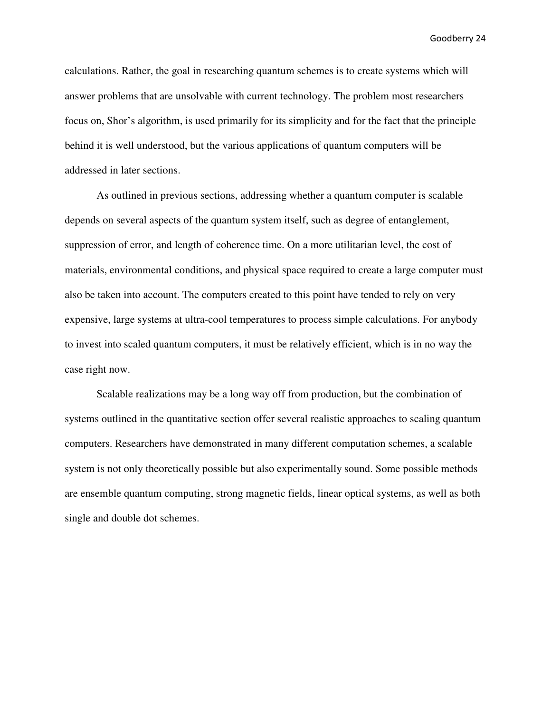calculations. Rather, the goal in researching quantum schemes is to create systems which will answer problems that are unsolvable with current technology. The problem most researchers focus on, Shor's algorithm, is used primarily for its simplicity and for the fact that the principle behind it is well understood, but the various applications of quantum computers will be addressed in later sections.

 As outlined in previous sections, addressing whether a quantum computer is scalable depends on several aspects of the quantum system itself, such as degree of entanglement, suppression of error, and length of coherence time. On a more utilitarian level, the cost of materials, environmental conditions, and physical space required to create a large computer must also be taken into account. The computers created to this point have tended to rely on very expensive, large systems at ultra-cool temperatures to process simple calculations. For anybody to invest into scaled quantum computers, it must be relatively efficient, which is in no way the case right now.

 Scalable realizations may be a long way off from production, but the combination of systems outlined in the quantitative section offer several realistic approaches to scaling quantum computers. Researchers have demonstrated in many different computation schemes, a scalable system is not only theoretically possible but also experimentally sound. Some possible methods are ensemble quantum computing, strong magnetic fields, linear optical systems, as well as both single and double dot schemes.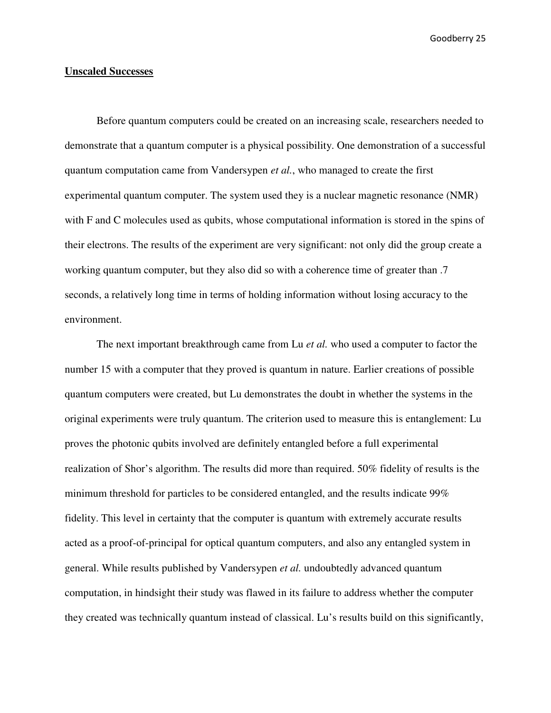#### **Unscaled Successes**

 Before quantum computers could be created on an increasing scale, researchers needed to demonstrate that a quantum computer is a physical possibility. One demonstration of a successful quantum computation came from Vandersypen *et al.*, who managed to create the first experimental quantum computer. The system used they is a nuclear magnetic resonance (NMR) with F and C molecules used as qubits, whose computational information is stored in the spins of their electrons. The results of the experiment are very significant: not only did the group create a working quantum computer, but they also did so with a coherence time of greater than .7 seconds, a relatively long time in terms of holding information without losing accuracy to the environment.

The next important breakthrough came from Lu *et al.* who used a computer to factor the number 15 with a computer that they proved is quantum in nature. Earlier creations of possible quantum computers were created, but Lu demonstrates the doubt in whether the systems in the original experiments were truly quantum. The criterion used to measure this is entanglement: Lu proves the photonic qubits involved are definitely entangled before a full experimental realization of Shor's algorithm. The results did more than required. 50% fidelity of results is the minimum threshold for particles to be considered entangled, and the results indicate 99% fidelity. This level in certainty that the computer is quantum with extremely accurate results acted as a proof-of-principal for optical quantum computers, and also any entangled system in general. While results published by Vandersypen *et al.* undoubtedly advanced quantum computation, in hindsight their study was flawed in its failure to address whether the computer they created was technically quantum instead of classical. Lu's results build on this significantly,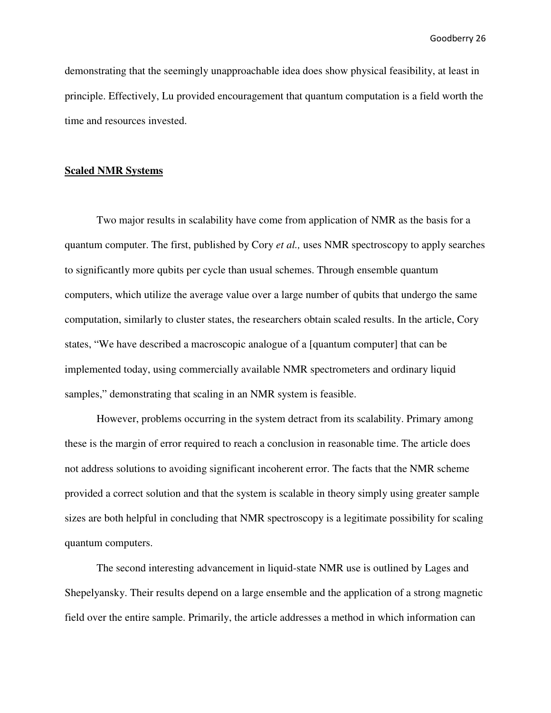demonstrating that the seemingly unapproachable idea does show physical feasibility, at least in principle. Effectively, Lu provided encouragement that quantum computation is a field worth the time and resources invested.

#### **Scaled NMR Systems**

 Two major results in scalability have come from application of NMR as the basis for a quantum computer. The first, published by Cory *et al.,* uses NMR spectroscopy to apply searches to significantly more qubits per cycle than usual schemes. Through ensemble quantum computers, which utilize the average value over a large number of qubits that undergo the same computation, similarly to cluster states, the researchers obtain scaled results. In the article, Cory states, "We have described a macroscopic analogue of a [quantum computer] that can be implemented today, using commercially available NMR spectrometers and ordinary liquid samples," demonstrating that scaling in an NMR system is feasible.

However, problems occurring in the system detract from its scalability. Primary among these is the margin of error required to reach a conclusion in reasonable time. The article does not address solutions to avoiding significant incoherent error. The facts that the NMR scheme provided a correct solution and that the system is scalable in theory simply using greater sample sizes are both helpful in concluding that NMR spectroscopy is a legitimate possibility for scaling quantum computers.

The second interesting advancement in liquid-state NMR use is outlined by Lages and Shepelyansky. Their results depend on a large ensemble and the application of a strong magnetic field over the entire sample. Primarily, the article addresses a method in which information can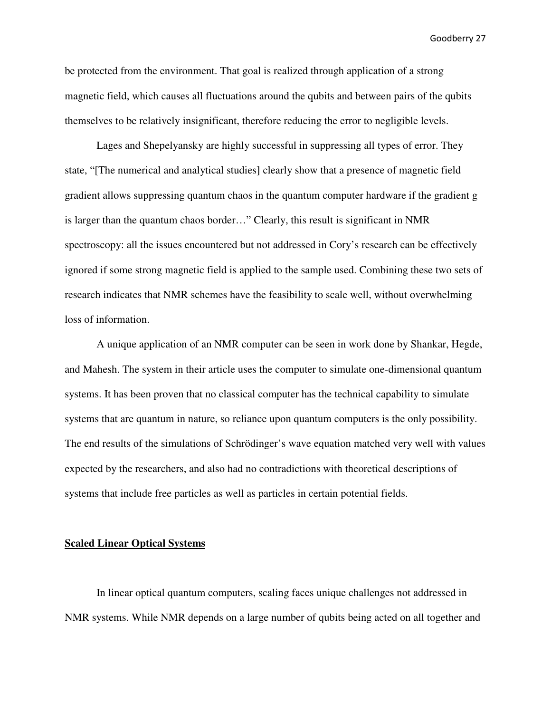be protected from the environment. That goal is realized through application of a strong magnetic field, which causes all fluctuations around the qubits and between pairs of the qubits themselves to be relatively insignificant, therefore reducing the error to negligible levels.

Lages and Shepelyansky are highly successful in suppressing all types of error. They state, "[The numerical and analytical studies] clearly show that a presence of magnetic field gradient allows suppressing quantum chaos in the quantum computer hardware if the gradient g is larger than the quantum chaos border…" Clearly, this result is significant in NMR spectroscopy: all the issues encountered but not addressed in Cory's research can be effectively ignored if some strong magnetic field is applied to the sample used. Combining these two sets of research indicates that NMR schemes have the feasibility to scale well, without overwhelming loss of information.

A unique application of an NMR computer can be seen in work done by Shankar, Hegde, and Mahesh. The system in their article uses the computer to simulate one-dimensional quantum systems. It has been proven that no classical computer has the technical capability to simulate systems that are quantum in nature, so reliance upon quantum computers is the only possibility. The end results of the simulations of Schrödinger's wave equation matched very well with values expected by the researchers, and also had no contradictions with theoretical descriptions of systems that include free particles as well as particles in certain potential fields.

#### **Scaled Linear Optical Systems**

 In linear optical quantum computers, scaling faces unique challenges not addressed in NMR systems. While NMR depends on a large number of qubits being acted on all together and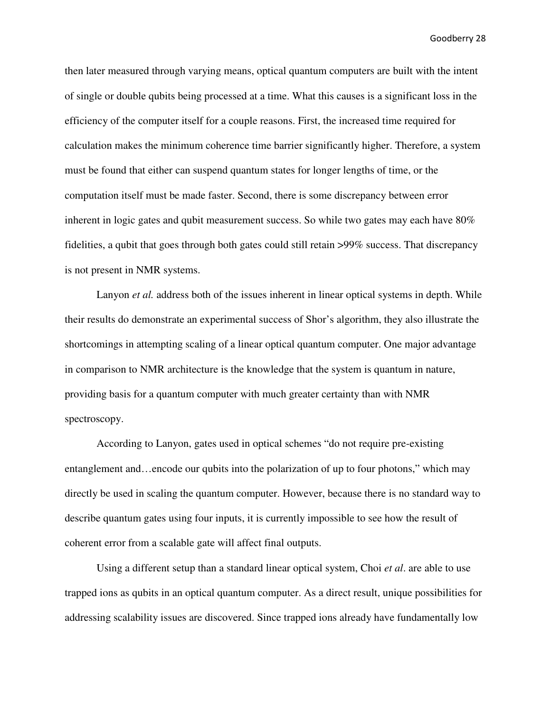then later measured through varying means, optical quantum computers are built with the intent of single or double qubits being processed at a time. What this causes is a significant loss in the efficiency of the computer itself for a couple reasons. First, the increased time required for calculation makes the minimum coherence time barrier significantly higher. Therefore, a system must be found that either can suspend quantum states for longer lengths of time, or the computation itself must be made faster. Second, there is some discrepancy between error inherent in logic gates and qubit measurement success. So while two gates may each have 80% fidelities, a qubit that goes through both gates could still retain >99% success. That discrepancy is not present in NMR systems.

Lanyon *et al.* address both of the issues inherent in linear optical systems in depth. While their results do demonstrate an experimental success of Shor's algorithm, they also illustrate the shortcomings in attempting scaling of a linear optical quantum computer. One major advantage in comparison to NMR architecture is the knowledge that the system is quantum in nature, providing basis for a quantum computer with much greater certainty than with NMR spectroscopy.

 According to Lanyon, gates used in optical schemes "do not require pre-existing entanglement and…encode our qubits into the polarization of up to four photons," which may directly be used in scaling the quantum computer. However, because there is no standard way to describe quantum gates using four inputs, it is currently impossible to see how the result of coherent error from a scalable gate will affect final outputs.

 Using a different setup than a standard linear optical system, Choi *et al*. are able to use trapped ions as qubits in an optical quantum computer. As a direct result, unique possibilities for addressing scalability issues are discovered. Since trapped ions already have fundamentally low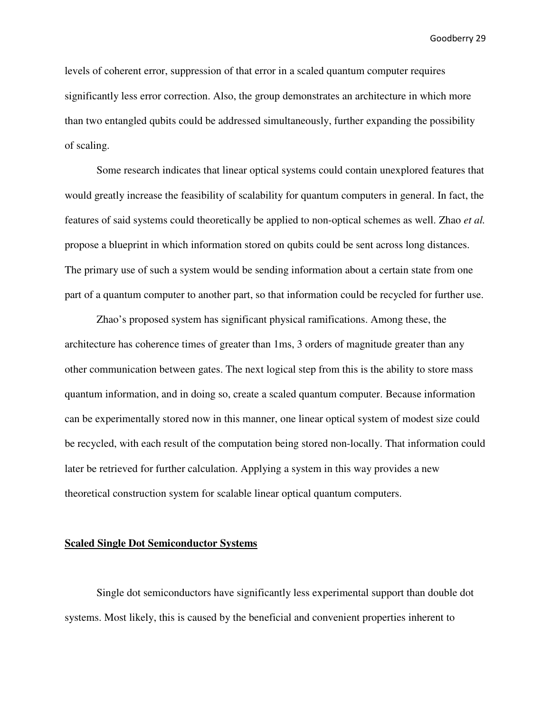levels of coherent error, suppression of that error in a scaled quantum computer requires significantly less error correction. Also, the group demonstrates an architecture in which more than two entangled qubits could be addressed simultaneously, further expanding the possibility of scaling.

 Some research indicates that linear optical systems could contain unexplored features that would greatly increase the feasibility of scalability for quantum computers in general. In fact, the features of said systems could theoretically be applied to non-optical schemes as well. Zhao *et al.* propose a blueprint in which information stored on qubits could be sent across long distances. The primary use of such a system would be sending information about a certain state from one part of a quantum computer to another part, so that information could be recycled for further use.

 Zhao's proposed system has significant physical ramifications. Among these, the architecture has coherence times of greater than 1ms, 3 orders of magnitude greater than any other communication between gates. The next logical step from this is the ability to store mass quantum information, and in doing so, create a scaled quantum computer. Because information can be experimentally stored now in this manner, one linear optical system of modest size could be recycled, with each result of the computation being stored non-locally. That information could later be retrieved for further calculation. Applying a system in this way provides a new theoretical construction system for scalable linear optical quantum computers.

#### **Scaled Single Dot Semiconductor Systems**

 Single dot semiconductors have significantly less experimental support than double dot systems. Most likely, this is caused by the beneficial and convenient properties inherent to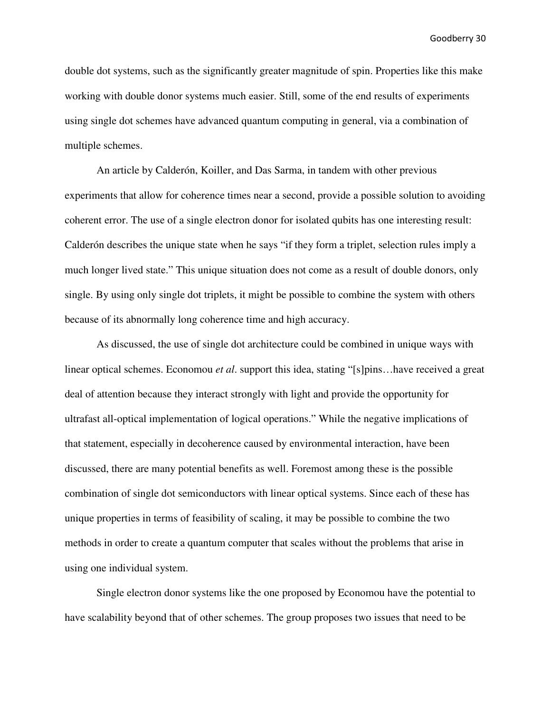double dot systems, such as the significantly greater magnitude of spin. Properties like this make working with double donor systems much easier. Still, some of the end results of experiments using single dot schemes have advanced quantum computing in general, via a combination of multiple schemes.

 An article by Calderón, Koiller, and Das Sarma, in tandem with other previous experiments that allow for coherence times near a second, provide a possible solution to avoiding coherent error. The use of a single electron donor for isolated qubits has one interesting result: Calderón describes the unique state when he says "if they form a triplet, selection rules imply a much longer lived state." This unique situation does not come as a result of double donors, only single. By using only single dot triplets, it might be possible to combine the system with others because of its abnormally long coherence time and high accuracy.

 As discussed, the use of single dot architecture could be combined in unique ways with linear optical schemes. Economou *et al*. support this idea, stating "[s]pins…have received a great deal of attention because they interact strongly with light and provide the opportunity for ultrafast all-optical implementation of logical operations." While the negative implications of that statement, especially in decoherence caused by environmental interaction, have been discussed, there are many potential benefits as well. Foremost among these is the possible combination of single dot semiconductors with linear optical systems. Since each of these has unique properties in terms of feasibility of scaling, it may be possible to combine the two methods in order to create a quantum computer that scales without the problems that arise in using one individual system.

 Single electron donor systems like the one proposed by Economou have the potential to have scalability beyond that of other schemes. The group proposes two issues that need to be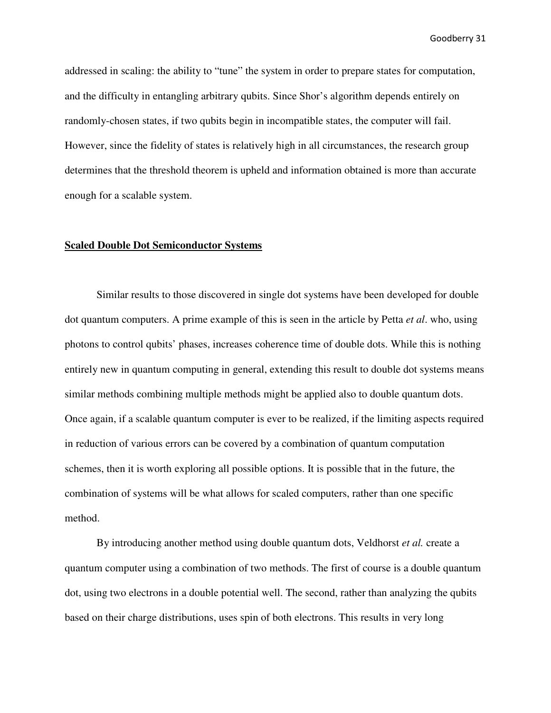addressed in scaling: the ability to "tune" the system in order to prepare states for computation, and the difficulty in entangling arbitrary qubits. Since Shor's algorithm depends entirely on randomly-chosen states, if two qubits begin in incompatible states, the computer will fail. However, since the fidelity of states is relatively high in all circumstances, the research group determines that the threshold theorem is upheld and information obtained is more than accurate enough for a scalable system.

#### **Scaled Double Dot Semiconductor Systems**

 Similar results to those discovered in single dot systems have been developed for double dot quantum computers. A prime example of this is seen in the article by Petta *et al*. who, using photons to control qubits' phases, increases coherence time of double dots. While this is nothing entirely new in quantum computing in general, extending this result to double dot systems means similar methods combining multiple methods might be applied also to double quantum dots. Once again, if a scalable quantum computer is ever to be realized, if the limiting aspects required in reduction of various errors can be covered by a combination of quantum computation schemes, then it is worth exploring all possible options. It is possible that in the future, the combination of systems will be what allows for scaled computers, rather than one specific method.

 By introducing another method using double quantum dots, Veldhorst *et al.* create a quantum computer using a combination of two methods. The first of course is a double quantum dot, using two electrons in a double potential well. The second, rather than analyzing the qubits based on their charge distributions, uses spin of both electrons. This results in very long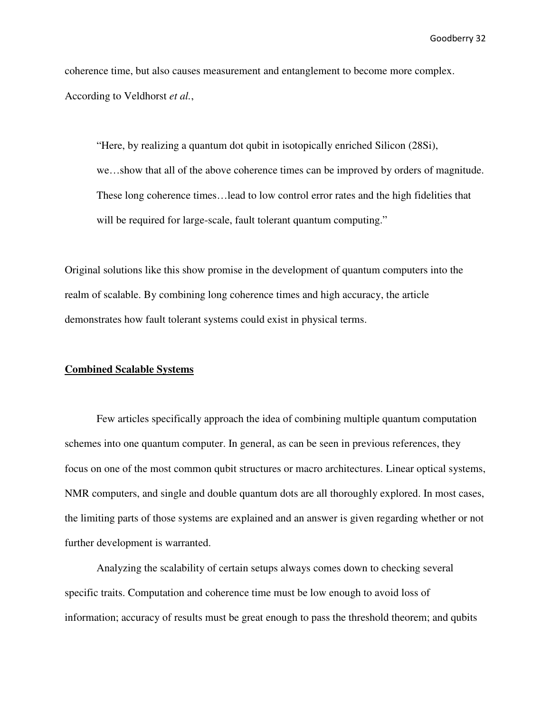coherence time, but also causes measurement and entanglement to become more complex. According to Veldhorst *et al.*,

"Here, by realizing a quantum dot qubit in isotopically enriched Silicon (28Si), we…show that all of the above coherence times can be improved by orders of magnitude. These long coherence times…lead to low control error rates and the high fidelities that will be required for large-scale, fault tolerant quantum computing."

Original solutions like this show promise in the development of quantum computers into the realm of scalable. By combining long coherence times and high accuracy, the article demonstrates how fault tolerant systems could exist in physical terms.

#### **Combined Scalable Systems**

 Few articles specifically approach the idea of combining multiple quantum computation schemes into one quantum computer. In general, as can be seen in previous references, they focus on one of the most common qubit structures or macro architectures. Linear optical systems, NMR computers, and single and double quantum dots are all thoroughly explored. In most cases, the limiting parts of those systems are explained and an answer is given regarding whether or not further development is warranted.

 Analyzing the scalability of certain setups always comes down to checking several specific traits. Computation and coherence time must be low enough to avoid loss of information; accuracy of results must be great enough to pass the threshold theorem; and qubits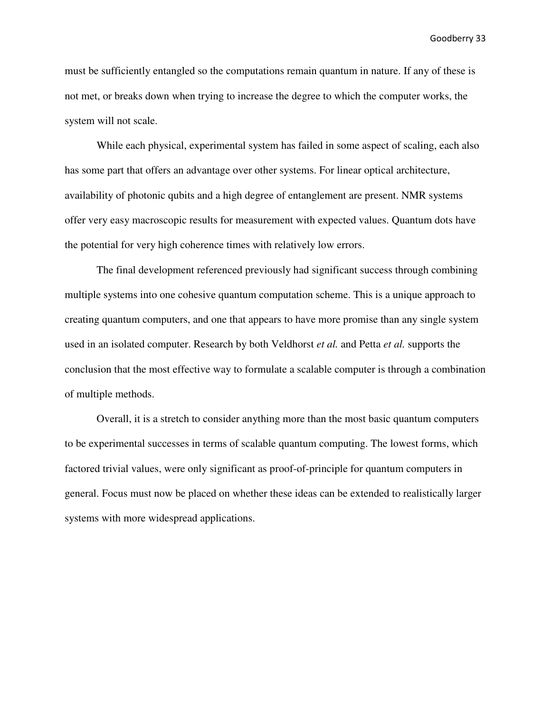must be sufficiently entangled so the computations remain quantum in nature. If any of these is not met, or breaks down when trying to increase the degree to which the computer works, the system will not scale.

 While each physical, experimental system has failed in some aspect of scaling, each also has some part that offers an advantage over other systems. For linear optical architecture, availability of photonic qubits and a high degree of entanglement are present. NMR systems offer very easy macroscopic results for measurement with expected values. Quantum dots have the potential for very high coherence times with relatively low errors.

 The final development referenced previously had significant success through combining multiple systems into one cohesive quantum computation scheme. This is a unique approach to creating quantum computers, and one that appears to have more promise than any single system used in an isolated computer. Research by both Veldhorst *et al.* and Petta *et al.* supports the conclusion that the most effective way to formulate a scalable computer is through a combination of multiple methods.

 Overall, it is a stretch to consider anything more than the most basic quantum computers to be experimental successes in terms of scalable quantum computing. The lowest forms, which factored trivial values, were only significant as proof-of-principle for quantum computers in general. Focus must now be placed on whether these ideas can be extended to realistically larger systems with more widespread applications.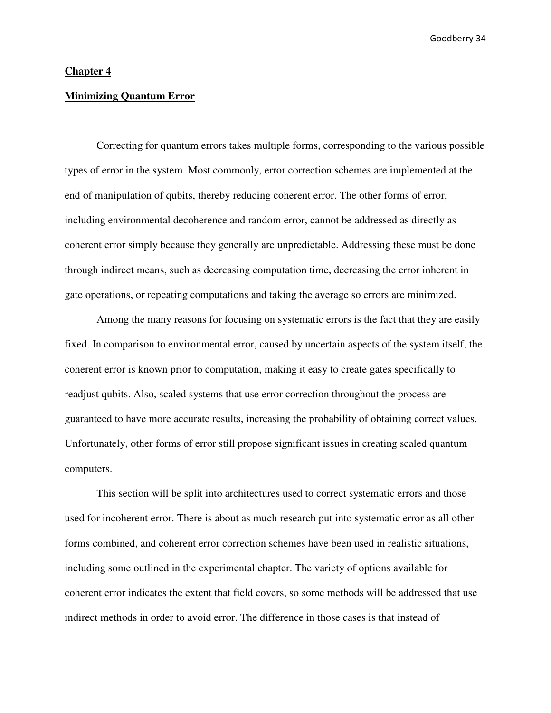#### **Chapter 4**

#### **Minimizing Quantum Error**

 Correcting for quantum errors takes multiple forms, corresponding to the various possible types of error in the system. Most commonly, error correction schemes are implemented at the end of manipulation of qubits, thereby reducing coherent error. The other forms of error, including environmental decoherence and random error, cannot be addressed as directly as coherent error simply because they generally are unpredictable. Addressing these must be done through indirect means, such as decreasing computation time, decreasing the error inherent in gate operations, or repeating computations and taking the average so errors are minimized.

 Among the many reasons for focusing on systematic errors is the fact that they are easily fixed. In comparison to environmental error, caused by uncertain aspects of the system itself, the coherent error is known prior to computation, making it easy to create gates specifically to readjust qubits. Also, scaled systems that use error correction throughout the process are guaranteed to have more accurate results, increasing the probability of obtaining correct values. Unfortunately, other forms of error still propose significant issues in creating scaled quantum computers.

 This section will be split into architectures used to correct systematic errors and those used for incoherent error. There is about as much research put into systematic error as all other forms combined, and coherent error correction schemes have been used in realistic situations, including some outlined in the experimental chapter. The variety of options available for coherent error indicates the extent that field covers, so some methods will be addressed that use indirect methods in order to avoid error. The difference in those cases is that instead of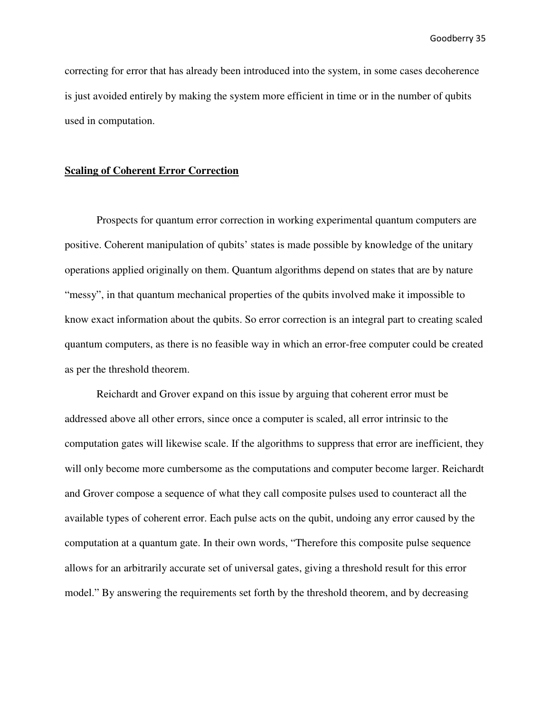correcting for error that has already been introduced into the system, in some cases decoherence is just avoided entirely by making the system more efficient in time or in the number of qubits used in computation.

#### **Scaling of Coherent Error Correction**

 Prospects for quantum error correction in working experimental quantum computers are positive. Coherent manipulation of qubits' states is made possible by knowledge of the unitary operations applied originally on them. Quantum algorithms depend on states that are by nature "messy", in that quantum mechanical properties of the qubits involved make it impossible to know exact information about the qubits. So error correction is an integral part to creating scaled quantum computers, as there is no feasible way in which an error-free computer could be created as per the threshold theorem.

 Reichardt and Grover expand on this issue by arguing that coherent error must be addressed above all other errors, since once a computer is scaled, all error intrinsic to the computation gates will likewise scale. If the algorithms to suppress that error are inefficient, they will only become more cumbersome as the computations and computer become larger. Reichardt and Grover compose a sequence of what they call composite pulses used to counteract all the available types of coherent error. Each pulse acts on the qubit, undoing any error caused by the computation at a quantum gate. In their own words, "Therefore this composite pulse sequence allows for an arbitrarily accurate set of universal gates, giving a threshold result for this error model." By answering the requirements set forth by the threshold theorem, and by decreasing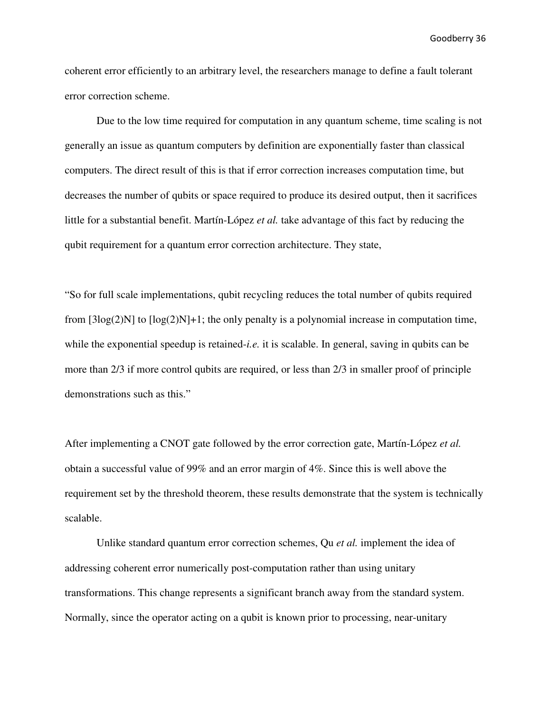coherent error efficiently to an arbitrary level, the researchers manage to define a fault tolerant error correction scheme.

 Due to the low time required for computation in any quantum scheme, time scaling is not generally an issue as quantum computers by definition are exponentially faster than classical computers. The direct result of this is that if error correction increases computation time, but decreases the number of qubits or space required to produce its desired output, then it sacrifices little for a substantial benefit. Martín-López *et al.* take advantage of this fact by reducing the qubit requirement for a quantum error correction architecture. They state,

"So for full scale implementations, qubit recycling reduces the total number of qubits required from  $[3\log(2)N]$  to  $[\log(2)N]+1$ ; the only penalty is a polynomial increase in computation time, while the exponential speedup is retained-*i.e.* it is scalable. In general, saving in qubits can be more than 2/3 if more control qubits are required, or less than 2/3 in smaller proof of principle demonstrations such as this."

After implementing a CNOT gate followed by the error correction gate, Martín-López *et al.*  obtain a successful value of 99% and an error margin of 4%. Since this is well above the requirement set by the threshold theorem, these results demonstrate that the system is technically scalable.

 Unlike standard quantum error correction schemes, Qu *et al.* implement the idea of addressing coherent error numerically post-computation rather than using unitary transformations. This change represents a significant branch away from the standard system. Normally, since the operator acting on a qubit is known prior to processing, near-unitary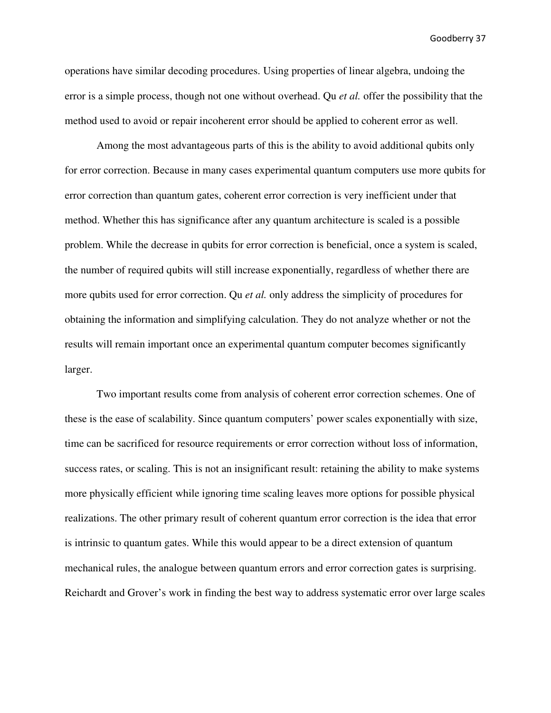operations have similar decoding procedures. Using properties of linear algebra, undoing the error is a simple process, though not one without overhead. Qu *et al.* offer the possibility that the method used to avoid or repair incoherent error should be applied to coherent error as well.

Among the most advantageous parts of this is the ability to avoid additional qubits only for error correction. Because in many cases experimental quantum computers use more qubits for error correction than quantum gates, coherent error correction is very inefficient under that method. Whether this has significance after any quantum architecture is scaled is a possible problem. While the decrease in qubits for error correction is beneficial, once a system is scaled, the number of required qubits will still increase exponentially, regardless of whether there are more qubits used for error correction. Qu *et al.* only address the simplicity of procedures for obtaining the information and simplifying calculation. They do not analyze whether or not the results will remain important once an experimental quantum computer becomes significantly larger.

 Two important results come from analysis of coherent error correction schemes. One of these is the ease of scalability. Since quantum computers' power scales exponentially with size, time can be sacrificed for resource requirements or error correction without loss of information, success rates, or scaling. This is not an insignificant result: retaining the ability to make systems more physically efficient while ignoring time scaling leaves more options for possible physical realizations. The other primary result of coherent quantum error correction is the idea that error is intrinsic to quantum gates. While this would appear to be a direct extension of quantum mechanical rules, the analogue between quantum errors and error correction gates is surprising. Reichardt and Grover's work in finding the best way to address systematic error over large scales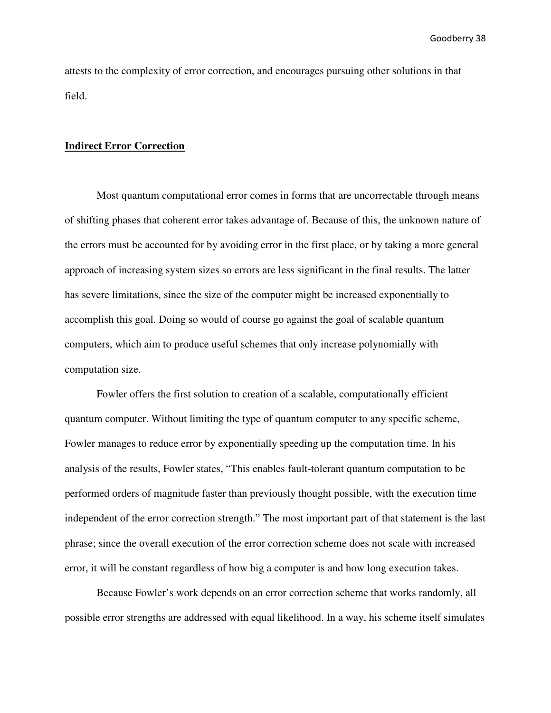attests to the complexity of error correction, and encourages pursuing other solutions in that field.

#### **Indirect Error Correction**

 Most quantum computational error comes in forms that are uncorrectable through means of shifting phases that coherent error takes advantage of. Because of this, the unknown nature of the errors must be accounted for by avoiding error in the first place, or by taking a more general approach of increasing system sizes so errors are less significant in the final results. The latter has severe limitations, since the size of the computer might be increased exponentially to accomplish this goal. Doing so would of course go against the goal of scalable quantum computers, which aim to produce useful schemes that only increase polynomially with computation size.

 Fowler offers the first solution to creation of a scalable, computationally efficient quantum computer. Without limiting the type of quantum computer to any specific scheme, Fowler manages to reduce error by exponentially speeding up the computation time. In his analysis of the results, Fowler states, "This enables fault-tolerant quantum computation to be performed orders of magnitude faster than previously thought possible, with the execution time independent of the error correction strength." The most important part of that statement is the last phrase; since the overall execution of the error correction scheme does not scale with increased error, it will be constant regardless of how big a computer is and how long execution takes.

 Because Fowler's work depends on an error correction scheme that works randomly, all possible error strengths are addressed with equal likelihood. In a way, his scheme itself simulates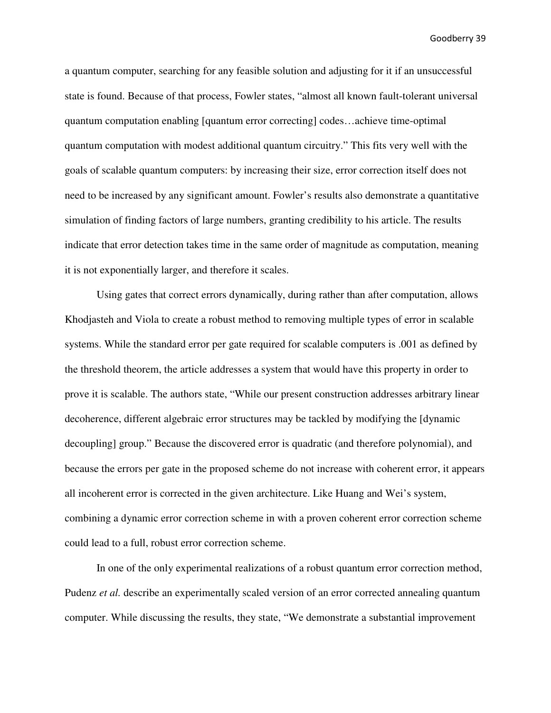a quantum computer, searching for any feasible solution and adjusting for it if an unsuccessful state is found. Because of that process, Fowler states, "almost all known fault-tolerant universal quantum computation enabling [quantum error correcting] codes…achieve time-optimal quantum computation with modest additional quantum circuitry." This fits very well with the goals of scalable quantum computers: by increasing their size, error correction itself does not need to be increased by any significant amount. Fowler's results also demonstrate a quantitative simulation of finding factors of large numbers, granting credibility to his article. The results indicate that error detection takes time in the same order of magnitude as computation, meaning it is not exponentially larger, and therefore it scales.

Using gates that correct errors dynamically, during rather than after computation, allows Khodjasteh and Viola to create a robust method to removing multiple types of error in scalable systems. While the standard error per gate required for scalable computers is .001 as defined by the threshold theorem, the article addresses a system that would have this property in order to prove it is scalable. The authors state, "While our present construction addresses arbitrary linear decoherence, different algebraic error structures may be tackled by modifying the [dynamic decoupling] group." Because the discovered error is quadratic (and therefore polynomial), and because the errors per gate in the proposed scheme do not increase with coherent error, it appears all incoherent error is corrected in the given architecture. Like Huang and Wei's system, combining a dynamic error correction scheme in with a proven coherent error correction scheme could lead to a full, robust error correction scheme.

In one of the only experimental realizations of a robust quantum error correction method, Pudenz *et al.* describe an experimentally scaled version of an error corrected annealing quantum computer. While discussing the results, they state, "We demonstrate a substantial improvement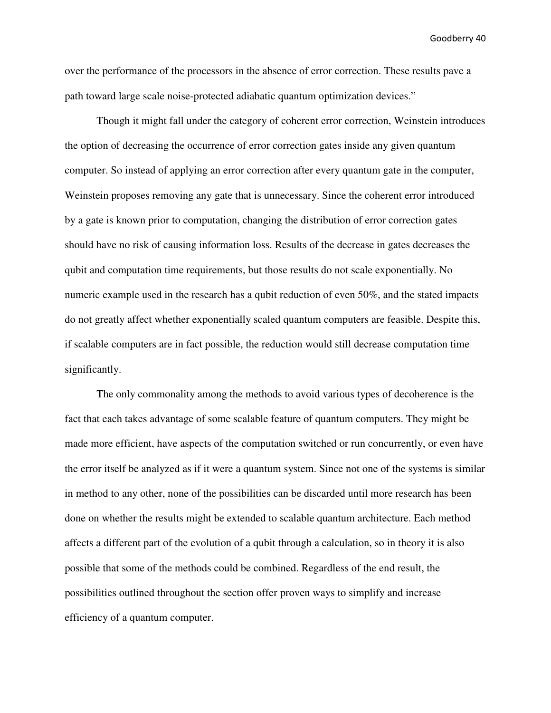over the performance of the processors in the absence of error correction. These results pave a path toward large scale noise-protected adiabatic quantum optimization devices."

Though it might fall under the category of coherent error correction, Weinstein introduces the option of decreasing the occurrence of error correction gates inside any given quantum computer. So instead of applying an error correction after every quantum gate in the computer, Weinstein proposes removing any gate that is unnecessary. Since the coherent error introduced by a gate is known prior to computation, changing the distribution of error correction gates should have no risk of causing information loss. Results of the decrease in gates decreases the qubit and computation time requirements, but those results do not scale exponentially. No numeric example used in the research has a qubit reduction of even 50%, and the stated impacts do not greatly affect whether exponentially scaled quantum computers are feasible. Despite this, if scalable computers are in fact possible, the reduction would still decrease computation time significantly.

The only commonality among the methods to avoid various types of decoherence is the fact that each takes advantage of some scalable feature of quantum computers. They might be made more efficient, have aspects of the computation switched or run concurrently, or even have the error itself be analyzed as if it were a quantum system. Since not one of the systems is similar in method to any other, none of the possibilities can be discarded until more research has been done on whether the results might be extended to scalable quantum architecture. Each method affects a different part of the evolution of a qubit through a calculation, so in theory it is also possible that some of the methods could be combined. Regardless of the end result, the possibilities outlined throughout the section offer proven ways to simplify and increase efficiency of a quantum computer.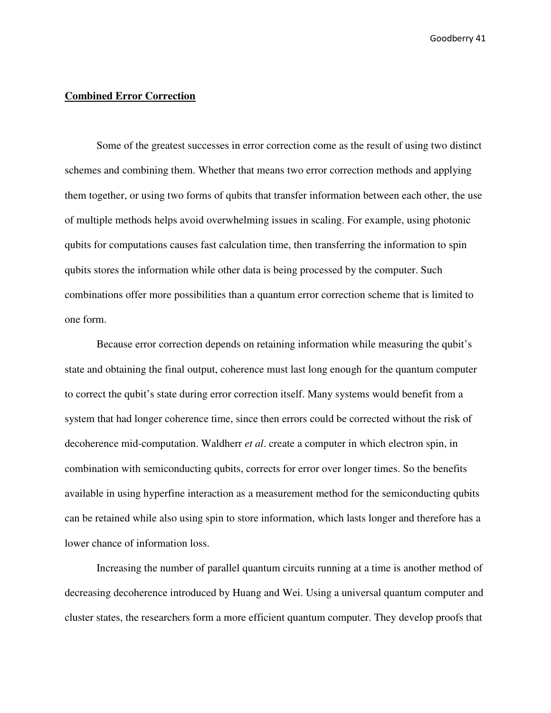#### **Combined Error Correction**

 Some of the greatest successes in error correction come as the result of using two distinct schemes and combining them. Whether that means two error correction methods and applying them together, or using two forms of qubits that transfer information between each other, the use of multiple methods helps avoid overwhelming issues in scaling. For example, using photonic qubits for computations causes fast calculation time, then transferring the information to spin qubits stores the information while other data is being processed by the computer. Such combinations offer more possibilities than a quantum error correction scheme that is limited to one form.

Because error correction depends on retaining information while measuring the qubit's state and obtaining the final output, coherence must last long enough for the quantum computer to correct the qubit's state during error correction itself. Many systems would benefit from a system that had longer coherence time, since then errors could be corrected without the risk of decoherence mid-computation. Waldherr *et al*. create a computer in which electron spin, in combination with semiconducting qubits, corrects for error over longer times. So the benefits available in using hyperfine interaction as a measurement method for the semiconducting qubits can be retained while also using spin to store information, which lasts longer and therefore has a lower chance of information loss.

 Increasing the number of parallel quantum circuits running at a time is another method of decreasing decoherence introduced by Huang and Wei. Using a universal quantum computer and cluster states, the researchers form a more efficient quantum computer. They develop proofs that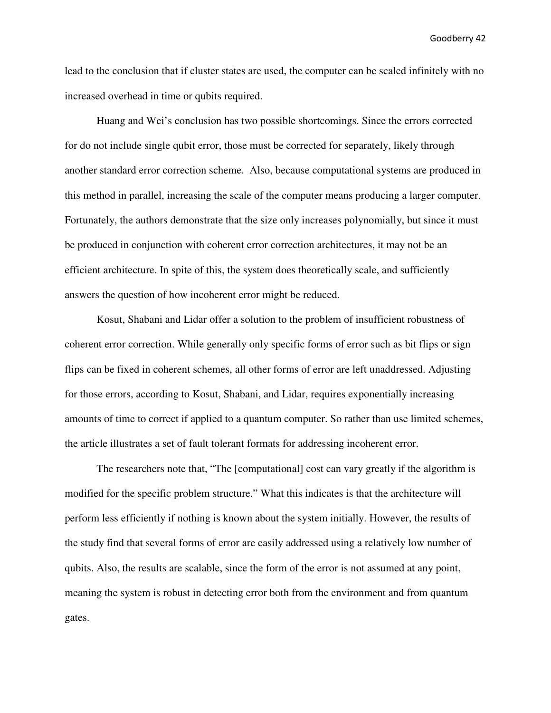lead to the conclusion that if cluster states are used, the computer can be scaled infinitely with no increased overhead in time or qubits required.

Huang and Wei's conclusion has two possible shortcomings. Since the errors corrected for do not include single qubit error, those must be corrected for separately, likely through another standard error correction scheme. Also, because computational systems are produced in this method in parallel, increasing the scale of the computer means producing a larger computer. Fortunately, the authors demonstrate that the size only increases polynomially, but since it must be produced in conjunction with coherent error correction architectures, it may not be an efficient architecture. In spite of this, the system does theoretically scale, and sufficiently answers the question of how incoherent error might be reduced.

Kosut, Shabani and Lidar offer a solution to the problem of insufficient robustness of coherent error correction. While generally only specific forms of error such as bit flips or sign flips can be fixed in coherent schemes, all other forms of error are left unaddressed. Adjusting for those errors, according to Kosut, Shabani, and Lidar, requires exponentially increasing amounts of time to correct if applied to a quantum computer. So rather than use limited schemes, the article illustrates a set of fault tolerant formats for addressing incoherent error.

The researchers note that, "The [computational] cost can vary greatly if the algorithm is modified for the specific problem structure." What this indicates is that the architecture will perform less efficiently if nothing is known about the system initially. However, the results of the study find that several forms of error are easily addressed using a relatively low number of qubits. Also, the results are scalable, since the form of the error is not assumed at any point, meaning the system is robust in detecting error both from the environment and from quantum gates.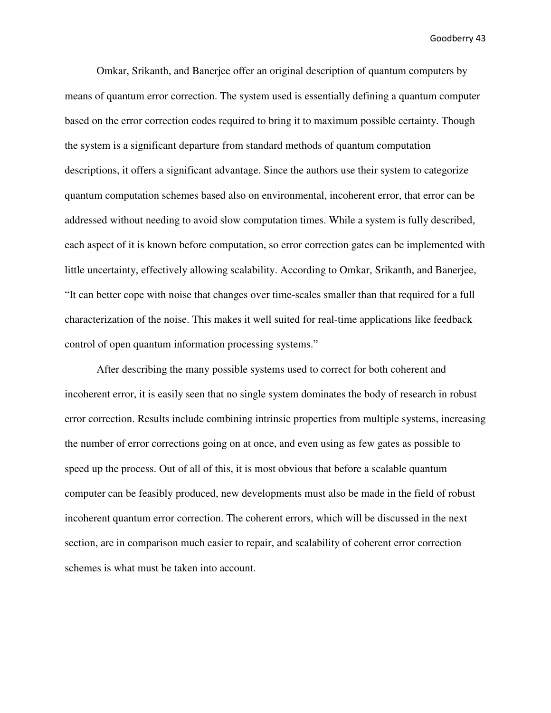Omkar, Srikanth, and Banerjee offer an original description of quantum computers by means of quantum error correction. The system used is essentially defining a quantum computer based on the error correction codes required to bring it to maximum possible certainty. Though the system is a significant departure from standard methods of quantum computation descriptions, it offers a significant advantage. Since the authors use their system to categorize quantum computation schemes based also on environmental, incoherent error, that error can be addressed without needing to avoid slow computation times. While a system is fully described, each aspect of it is known before computation, so error correction gates can be implemented with little uncertainty, effectively allowing scalability. According to Omkar, Srikanth, and Banerjee, "It can better cope with noise that changes over time-scales smaller than that required for a full characterization of the noise. This makes it well suited for real-time applications like feedback control of open quantum information processing systems."

After describing the many possible systems used to correct for both coherent and incoherent error, it is easily seen that no single system dominates the body of research in robust error correction. Results include combining intrinsic properties from multiple systems, increasing the number of error corrections going on at once, and even using as few gates as possible to speed up the process. Out of all of this, it is most obvious that before a scalable quantum computer can be feasibly produced, new developments must also be made in the field of robust incoherent quantum error correction. The coherent errors, which will be discussed in the next section, are in comparison much easier to repair, and scalability of coherent error correction schemes is what must be taken into account.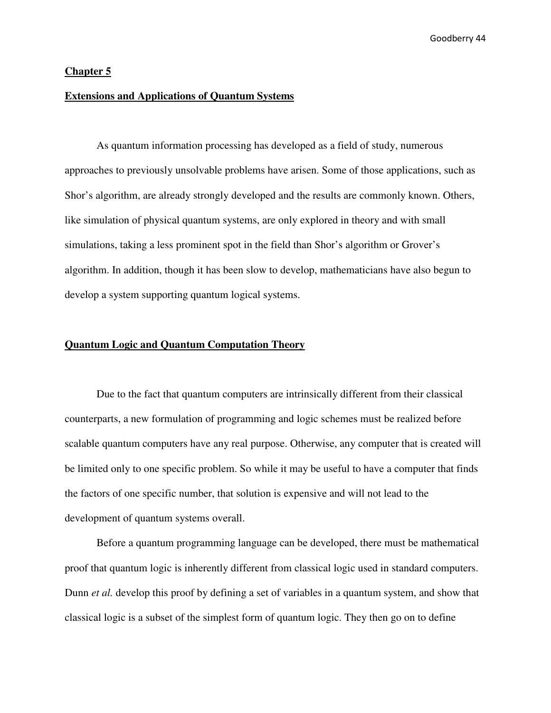#### **Chapter 5**

## **Extensions and Applications of Quantum Systems**

 As quantum information processing has developed as a field of study, numerous approaches to previously unsolvable problems have arisen. Some of those applications, such as Shor's algorithm, are already strongly developed and the results are commonly known. Others, like simulation of physical quantum systems, are only explored in theory and with small simulations, taking a less prominent spot in the field than Shor's algorithm or Grover's algorithm. In addition, though it has been slow to develop, mathematicians have also begun to develop a system supporting quantum logical systems.

#### **Quantum Logic and Quantum Computation Theory**

 Due to the fact that quantum computers are intrinsically different from their classical counterparts, a new formulation of programming and logic schemes must be realized before scalable quantum computers have any real purpose. Otherwise, any computer that is created will be limited only to one specific problem. So while it may be useful to have a computer that finds the factors of one specific number, that solution is expensive and will not lead to the development of quantum systems overall.

 Before a quantum programming language can be developed, there must be mathematical proof that quantum logic is inherently different from classical logic used in standard computers. Dunn *et al.* develop this proof by defining a set of variables in a quantum system, and show that classical logic is a subset of the simplest form of quantum logic. They then go on to define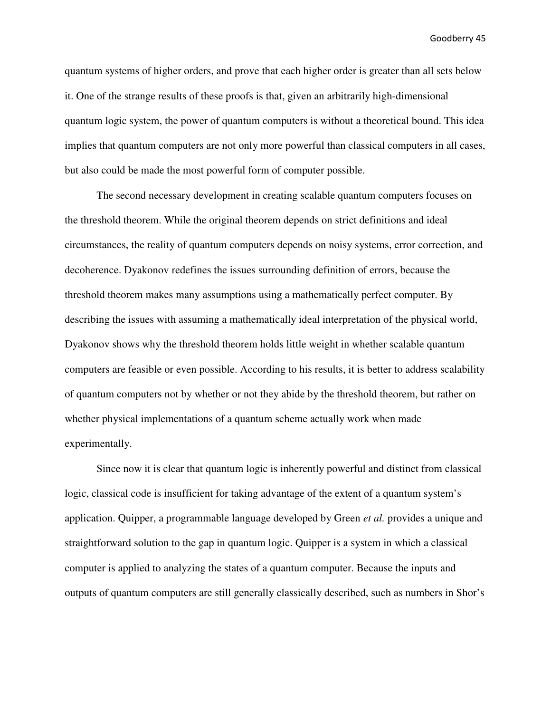quantum systems of higher orders, and prove that each higher order is greater than all sets below it. One of the strange results of these proofs is that, given an arbitrarily high-dimensional quantum logic system, the power of quantum computers is without a theoretical bound. This idea implies that quantum computers are not only more powerful than classical computers in all cases, but also could be made the most powerful form of computer possible.

 The second necessary development in creating scalable quantum computers focuses on the threshold theorem. While the original theorem depends on strict definitions and ideal circumstances, the reality of quantum computers depends on noisy systems, error correction, and decoherence. Dyakonov redefines the issues surrounding definition of errors, because the threshold theorem makes many assumptions using a mathematically perfect computer. By describing the issues with assuming a mathematically ideal interpretation of the physical world, Dyakonov shows why the threshold theorem holds little weight in whether scalable quantum computers are feasible or even possible. According to his results, it is better to address scalability of quantum computers not by whether or not they abide by the threshold theorem, but rather on whether physical implementations of a quantum scheme actually work when made experimentally.

 Since now it is clear that quantum logic is inherently powerful and distinct from classical logic, classical code is insufficient for taking advantage of the extent of a quantum system's application. Quipper, a programmable language developed by Green *et al.* provides a unique and straightforward solution to the gap in quantum logic. Quipper is a system in which a classical computer is applied to analyzing the states of a quantum computer. Because the inputs and outputs of quantum computers are still generally classically described, such as numbers in Shor's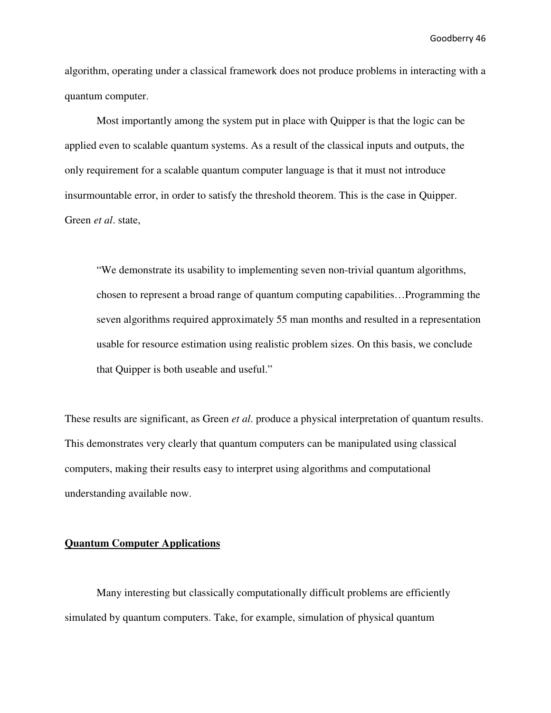algorithm, operating under a classical framework does not produce problems in interacting with a quantum computer.

 Most importantly among the system put in place with Quipper is that the logic can be applied even to scalable quantum systems. As a result of the classical inputs and outputs, the only requirement for a scalable quantum computer language is that it must not introduce insurmountable error, in order to satisfy the threshold theorem. This is the case in Quipper. Green *et al*. state,

"We demonstrate its usability to implementing seven non-trivial quantum algorithms, chosen to represent a broad range of quantum computing capabilities…Programming the seven algorithms required approximately 55 man months and resulted in a representation usable for resource estimation using realistic problem sizes. On this basis, we conclude that Quipper is both useable and useful."

These results are significant, as Green *et al*. produce a physical interpretation of quantum results. This demonstrates very clearly that quantum computers can be manipulated using classical computers, making their results easy to interpret using algorithms and computational understanding available now.

#### **Quantum Computer Applications**

 Many interesting but classically computationally difficult problems are efficiently simulated by quantum computers. Take, for example, simulation of physical quantum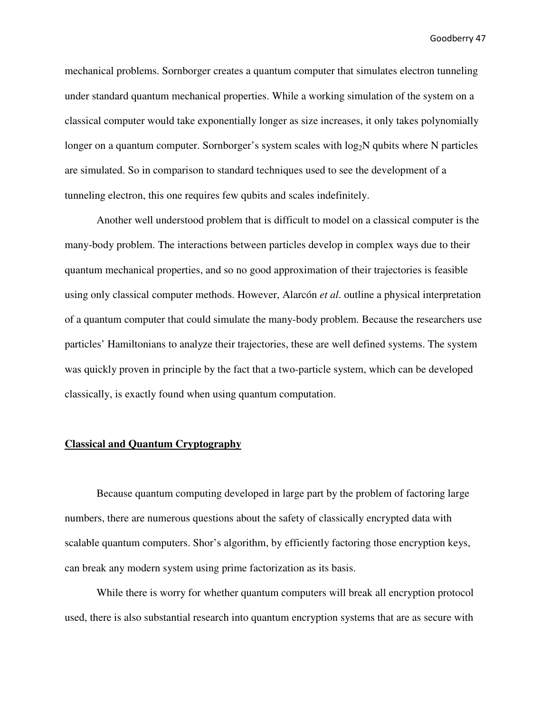mechanical problems. Sornborger creates a quantum computer that simulates electron tunneling under standard quantum mechanical properties. While a working simulation of the system on a classical computer would take exponentially longer as size increases, it only takes polynomially longer on a quantum computer. Sornborger's system scales with  $log_2N$  qubits where N particles are simulated. So in comparison to standard techniques used to see the development of a tunneling electron, this one requires few qubits and scales indefinitely.

 Another well understood problem that is difficult to model on a classical computer is the many-body problem. The interactions between particles develop in complex ways due to their quantum mechanical properties, and so no good approximation of their trajectories is feasible using only classical computer methods. However, Alarcón *et al*. outline a physical interpretation of a quantum computer that could simulate the many-body problem. Because the researchers use particles' Hamiltonians to analyze their trajectories, these are well defined systems. The system was quickly proven in principle by the fact that a two-particle system, which can be developed classically, is exactly found when using quantum computation.

#### **Classical and Quantum Cryptography**

 Because quantum computing developed in large part by the problem of factoring large numbers, there are numerous questions about the safety of classically encrypted data with scalable quantum computers. Shor's algorithm, by efficiently factoring those encryption keys, can break any modern system using prime factorization as its basis.

 While there is worry for whether quantum computers will break all encryption protocol used, there is also substantial research into quantum encryption systems that are as secure with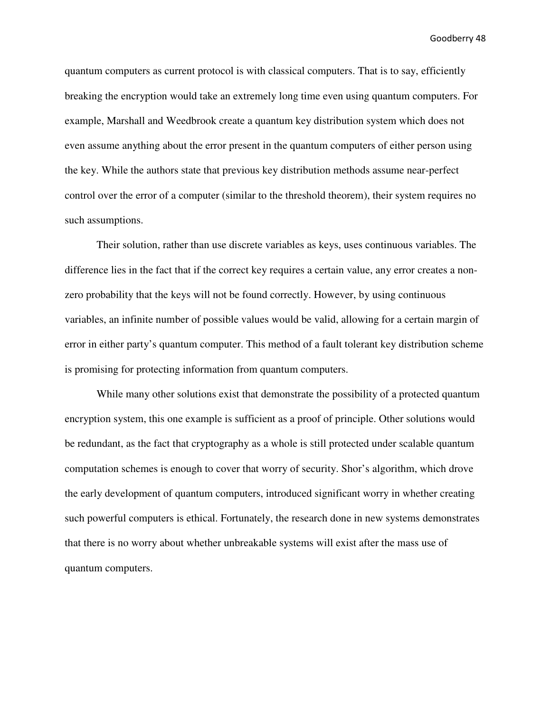quantum computers as current protocol is with classical computers. That is to say, efficiently breaking the encryption would take an extremely long time even using quantum computers. For example, Marshall and Weedbrook create a quantum key distribution system which does not even assume anything about the error present in the quantum computers of either person using the key. While the authors state that previous key distribution methods assume near-perfect control over the error of a computer (similar to the threshold theorem), their system requires no such assumptions.

Their solution, rather than use discrete variables as keys, uses continuous variables. The difference lies in the fact that if the correct key requires a certain value, any error creates a nonzero probability that the keys will not be found correctly. However, by using continuous variables, an infinite number of possible values would be valid, allowing for a certain margin of error in either party's quantum computer. This method of a fault tolerant key distribution scheme is promising for protecting information from quantum computers.

While many other solutions exist that demonstrate the possibility of a protected quantum encryption system, this one example is sufficient as a proof of principle. Other solutions would be redundant, as the fact that cryptography as a whole is still protected under scalable quantum computation schemes is enough to cover that worry of security. Shor's algorithm, which drove the early development of quantum computers, introduced significant worry in whether creating such powerful computers is ethical. Fortunately, the research done in new systems demonstrates that there is no worry about whether unbreakable systems will exist after the mass use of quantum computers.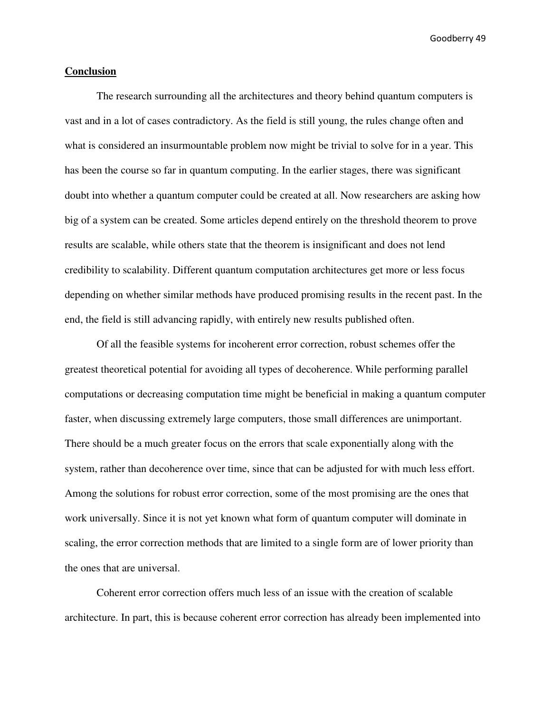#### **Conclusion**

 The research surrounding all the architectures and theory behind quantum computers is vast and in a lot of cases contradictory. As the field is still young, the rules change often and what is considered an insurmountable problem now might be trivial to solve for in a year. This has been the course so far in quantum computing. In the earlier stages, there was significant doubt into whether a quantum computer could be created at all. Now researchers are asking how big of a system can be created. Some articles depend entirely on the threshold theorem to prove results are scalable, while others state that the theorem is insignificant and does not lend credibility to scalability. Different quantum computation architectures get more or less focus depending on whether similar methods have produced promising results in the recent past. In the end, the field is still advancing rapidly, with entirely new results published often.

 Of all the feasible systems for incoherent error correction, robust schemes offer the greatest theoretical potential for avoiding all types of decoherence. While performing parallel computations or decreasing computation time might be beneficial in making a quantum computer faster, when discussing extremely large computers, those small differences are unimportant. There should be a much greater focus on the errors that scale exponentially along with the system, rather than decoherence over time, since that can be adjusted for with much less effort. Among the solutions for robust error correction, some of the most promising are the ones that work universally. Since it is not yet known what form of quantum computer will dominate in scaling, the error correction methods that are limited to a single form are of lower priority than the ones that are universal.

 Coherent error correction offers much less of an issue with the creation of scalable architecture. In part, this is because coherent error correction has already been implemented into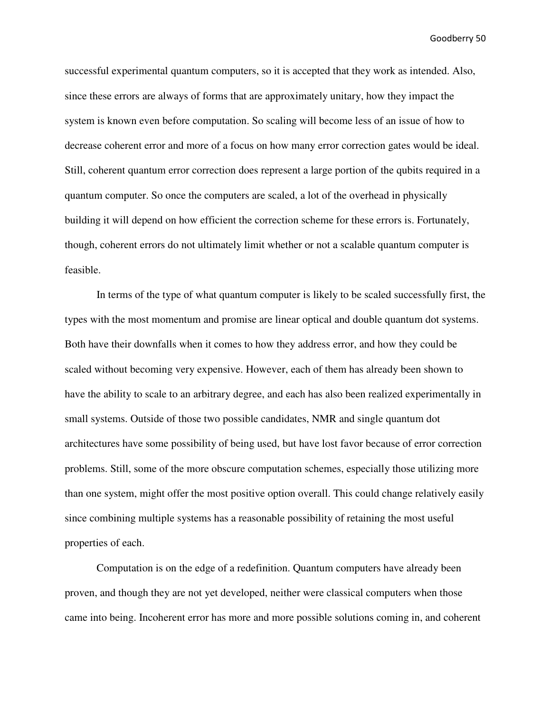successful experimental quantum computers, so it is accepted that they work as intended. Also, since these errors are always of forms that are approximately unitary, how they impact the system is known even before computation. So scaling will become less of an issue of how to decrease coherent error and more of a focus on how many error correction gates would be ideal. Still, coherent quantum error correction does represent a large portion of the qubits required in a quantum computer. So once the computers are scaled, a lot of the overhead in physically building it will depend on how efficient the correction scheme for these errors is. Fortunately, though, coherent errors do not ultimately limit whether or not a scalable quantum computer is feasible.

 In terms of the type of what quantum computer is likely to be scaled successfully first, the types with the most momentum and promise are linear optical and double quantum dot systems. Both have their downfalls when it comes to how they address error, and how they could be scaled without becoming very expensive. However, each of them has already been shown to have the ability to scale to an arbitrary degree, and each has also been realized experimentally in small systems. Outside of those two possible candidates, NMR and single quantum dot architectures have some possibility of being used, but have lost favor because of error correction problems. Still, some of the more obscure computation schemes, especially those utilizing more than one system, might offer the most positive option overall. This could change relatively easily since combining multiple systems has a reasonable possibility of retaining the most useful properties of each.

 Computation is on the edge of a redefinition. Quantum computers have already been proven, and though they are not yet developed, neither were classical computers when those came into being. Incoherent error has more and more possible solutions coming in, and coherent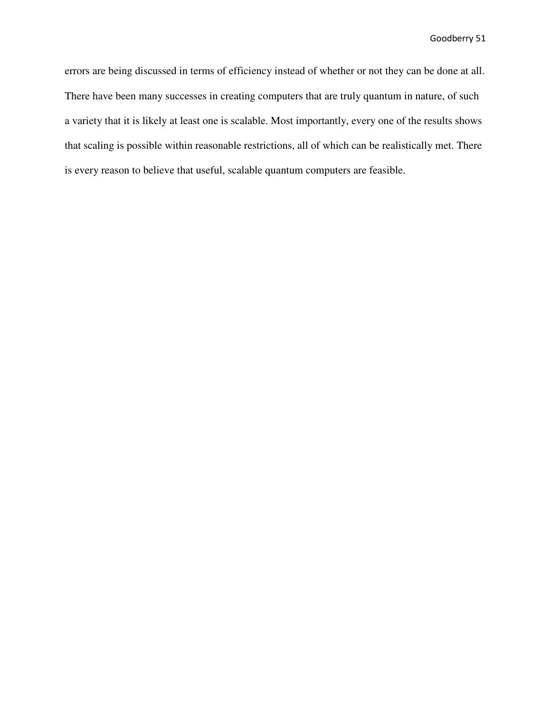errors are being discussed in terms of efficiency instead of whether or not they can be done at all. There have been many successes in creating computers that are truly quantum in nature, of such a variety that it is likely at least one is scalable. Most importantly, every one of the results shows that scaling is possible within reasonable restrictions, all of which can be realistically met. There is every reason to believe that useful, scalable quantum computers are feasible.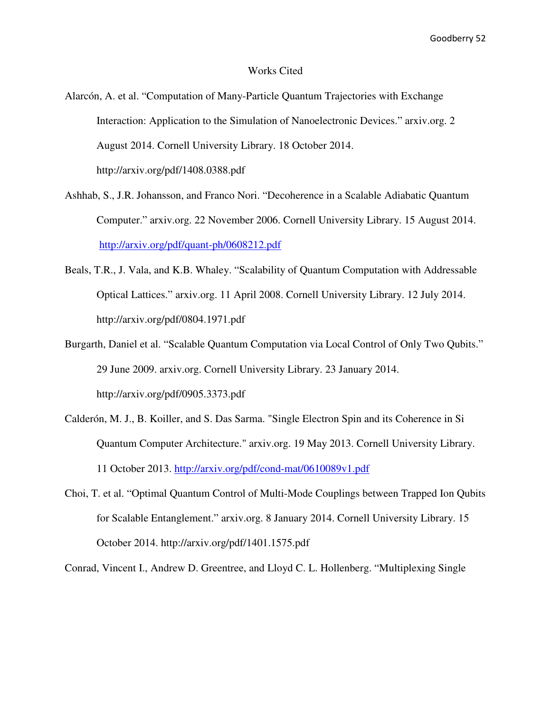#### Works Cited

- Alarcón, A. et al. "Computation of Many-Particle Quantum Trajectories with Exchange Interaction: Application to the Simulation of Nanoelectronic Devices." arxiv.org. 2 August 2014. Cornell University Library. 18 October 2014. http://arxiv.org/pdf/1408.0388.pdf
- Ashhab, S., J.R. Johansson, and Franco Nori. "Decoherence in a Scalable Adiabatic Quantum Computer." arxiv.org. 22 November 2006. Cornell University Library. 15 August 2014. http://arxiv.org/pdf/quant-ph/0608212.pdf
- Beals, T.R., J. Vala, and K.B. Whaley. "Scalability of Quantum Computation with Addressable Optical Lattices." arxiv.org. 11 April 2008. Cornell University Library. 12 July 2014. http://arxiv.org/pdf/0804.1971.pdf
- Burgarth, Daniel et al. "Scalable Quantum Computation via Local Control of Only Two Qubits." 29 June 2009. arxiv.org. Cornell University Library. 23 January 2014. http://arxiv.org/pdf/0905.3373.pdf
- Calderón, M. J., B. Koiller, and S. Das Sarma. "Single Electron Spin and its Coherence in Si Quantum Computer Architecture." arxiv.org. 19 May 2013. Cornell University Library. 11 October 2013. http://arxiv.org/pdf/cond-mat/0610089v1.pdf
- Choi, T. et al. "Optimal Quantum Control of Multi-Mode Couplings between Trapped Ion Qubits for Scalable Entanglement." arxiv.org. 8 January 2014. Cornell University Library. 15 October 2014. http://arxiv.org/pdf/1401.1575.pdf

Conrad, Vincent I., Andrew D. Greentree, and Lloyd C. L. Hollenberg. "Multiplexing Single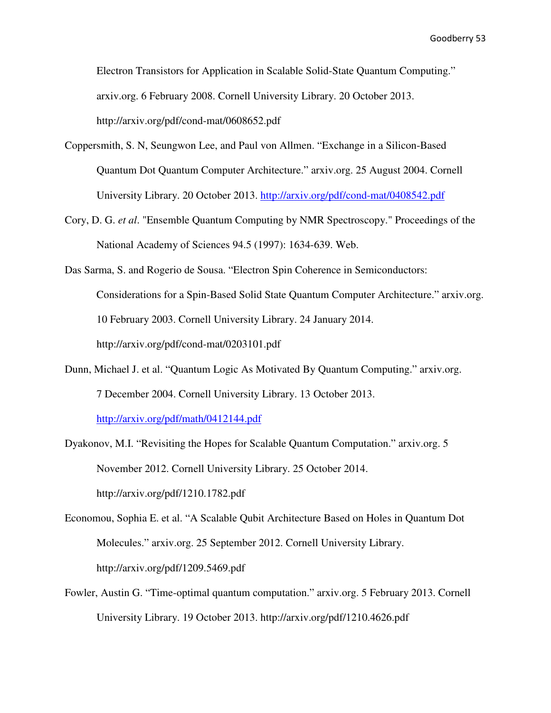Electron Transistors for Application in Scalable Solid-State Quantum Computing." arxiv.org. 6 February 2008. Cornell University Library. 20 October 2013. http://arxiv.org/pdf/cond-mat/0608652.pdf

- Coppersmith, S. N, Seungwon Lee, and Paul von Allmen. "Exchange in a Silicon-Based Quantum Dot Quantum Computer Architecture." arxiv.org. 25 August 2004. Cornell University Library. 20 October 2013. http://arxiv.org/pdf/cond-mat/0408542.pdf
- Cory, D. G. *et al*. "Ensemble Quantum Computing by NMR Spectroscopy." Proceedings of the National Academy of Sciences 94.5 (1997): 1634-639. Web.
- Das Sarma, S. and Rogerio de Sousa. "Electron Spin Coherence in Semiconductors: Considerations for a Spin-Based Solid State Quantum Computer Architecture." arxiv.org. 10 February 2003. Cornell University Library. 24 January 2014. http://arxiv.org/pdf/cond-mat/0203101.pdf
- Dunn, Michael J. et al. "Quantum Logic As Motivated By Quantum Computing." arxiv.org. 7 December 2004. Cornell University Library. 13 October 2013.

http://arxiv.org/pdf/math/0412144.pdf

- Dyakonov, M.I. "Revisiting the Hopes for Scalable Quantum Computation." arxiv.org. 5 November 2012. Cornell University Library. 25 October 2014. http://arxiv.org/pdf/1210.1782.pdf
- Economou, Sophia E. et al. "A Scalable Qubit Architecture Based on Holes in Quantum Dot Molecules." arxiv.org. 25 September 2012. Cornell University Library. http://arxiv.org/pdf/1209.5469.pdf
- Fowler, Austin G. "Time-optimal quantum computation." arxiv.org. 5 February 2013. Cornell University Library. 19 October 2013. http://arxiv.org/pdf/1210.4626.pdf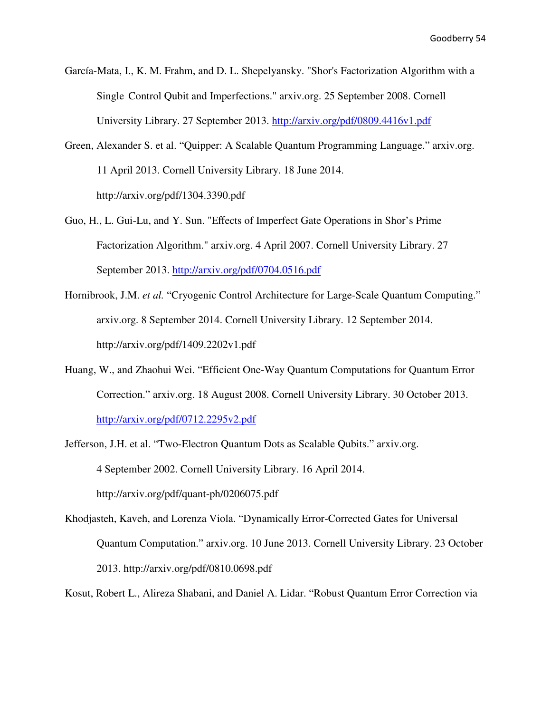García-Mata, I., K. M. Frahm, and D. L. Shepelyansky. "Shor's Factorization Algorithm with a Single Control Qubit and Imperfections." arxiv.org. 25 September 2008. Cornell University Library. 27 September 2013. http://arxiv.org/pdf/0809.4416v1.pdf

- Green, Alexander S. et al. "Quipper: A Scalable Quantum Programming Language." arxiv.org. 11 April 2013. Cornell University Library. 18 June 2014. http://arxiv.org/pdf/1304.3390.pdf
- Guo, H., L. Gui-Lu, and Y. Sun. "Effects of Imperfect Gate Operations in Shor's Prime Factorization Algorithm." arxiv.org. 4 April 2007. Cornell University Library. 27 September 2013. http://arxiv.org/pdf/0704.0516.pdf
- Hornibrook, J.M. *et al.* "Cryogenic Control Architecture for Large-Scale Quantum Computing." arxiv.org. 8 September 2014. Cornell University Library. 12 September 2014. http://arxiv.org/pdf/1409.2202v1.pdf
- Huang, W., and Zhaohui Wei. "Efficient One-Way Quantum Computations for Quantum Error Correction." arxiv.org. 18 August 2008. Cornell University Library. 30 October 2013. http://arxiv.org/pdf/0712.2295v2.pdf
- Jefferson, J.H. et al. "Two-Electron Quantum Dots as Scalable Qubits." arxiv.org. 4 September 2002. Cornell University Library. 16 April 2014. http://arxiv.org/pdf/quant-ph/0206075.pdf
- Khodjasteh, Kaveh, and Lorenza Viola. "Dynamically Error-Corrected Gates for Universal Quantum Computation." arxiv.org. 10 June 2013. Cornell University Library. 23 October 2013. http://arxiv.org/pdf/0810.0698.pdf

Kosut, Robert L., Alireza Shabani, and Daniel A. Lidar. "Robust Quantum Error Correction via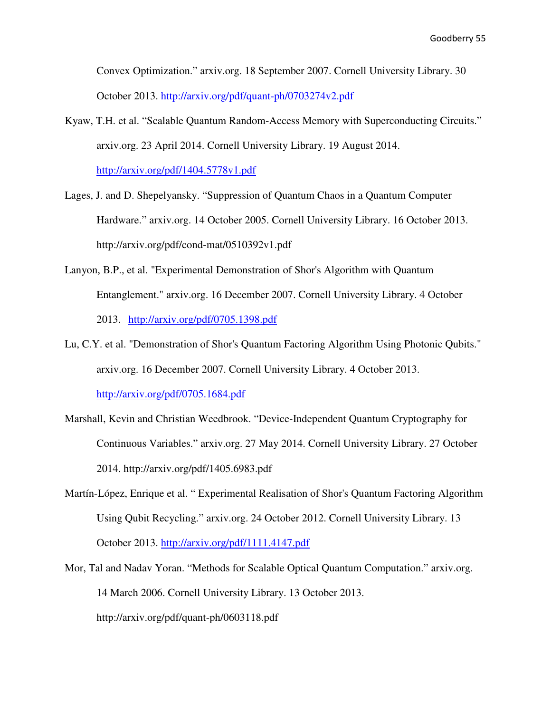Convex Optimization." arxiv.org. 18 September 2007. Cornell University Library. 30 October 2013. http://arxiv.org/pdf/quant-ph/0703274v2.pdf

- Kyaw, T.H. et al. "Scalable Quantum Random-Access Memory with Superconducting Circuits." arxiv.org. 23 April 2014. Cornell University Library. 19 August 2014. http://arxiv.org/pdf/1404.5778v1.pdf
- Lages, J. and D. Shepelyansky. "Suppression of Quantum Chaos in a Quantum Computer Hardware." arxiv.org. 14 October 2005. Cornell University Library. 16 October 2013. http://arxiv.org/pdf/cond-mat/0510392v1.pdf
- Lanyon, B.P., et al. "Experimental Demonstration of Shor's Algorithm with Quantum Entanglement." arxiv.org. 16 December 2007. Cornell University Library. 4 October 2013. http://arxiv.org/pdf/0705.1398.pdf
- Lu, C.Y. et al. "Demonstration of Shor's Quantum Factoring Algorithm Using Photonic Qubits." arxiv.org. 16 December 2007. Cornell University Library. 4 October 2013. http://arxiv.org/pdf/0705.1684.pdf
- Marshall, Kevin and Christian Weedbrook. "Device-Independent Quantum Cryptography for Continuous Variables." arxiv.org. 27 May 2014. Cornell University Library. 27 October 2014. http://arxiv.org/pdf/1405.6983.pdf
- Martín-López, Enrique et al. " Experimental Realisation of Shor's Quantum Factoring Algorithm Using Qubit Recycling." arxiv.org. 24 October 2012. Cornell University Library. 13 October 2013. http://arxiv.org/pdf/1111.4147.pdf
- Mor, Tal and Nadav Yoran. "Methods for Scalable Optical Quantum Computation." arxiv.org. 14 March 2006. Cornell University Library. 13 October 2013. http://arxiv.org/pdf/quant-ph/0603118.pdf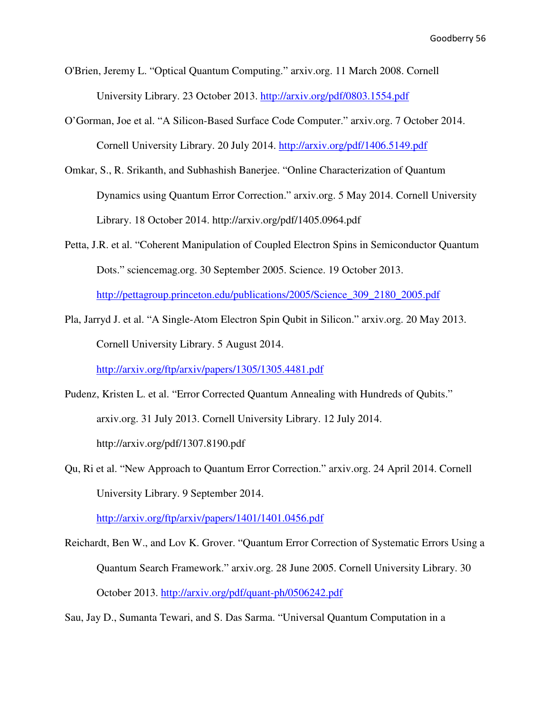O'Brien, Jeremy L. "Optical Quantum Computing." arxiv.org. 11 March 2008. Cornell University Library. 23 October 2013. http://arxiv.org/pdf/0803.1554.pdf

- O'Gorman, Joe et al. "A Silicon-Based Surface Code Computer." arxiv.org. 7 October 2014. Cornell University Library. 20 July 2014. http://arxiv.org/pdf/1406.5149.pdf
- Omkar, S., R. Srikanth, and Subhashish Banerjee. "Online Characterization of Quantum Dynamics using Quantum Error Correction." arxiv.org. 5 May 2014. Cornell University Library. 18 October 2014. http://arxiv.org/pdf/1405.0964.pdf
- Petta, J.R. et al. "Coherent Manipulation of Coupled Electron Spins in Semiconductor Quantum Dots." sciencemag.org. 30 September 2005. Science. 19 October 2013.

http://pettagroup.princeton.edu/publications/2005/Science\_309\_2180\_2005.pdf

Pla, Jarryd J. et al. "A Single-Atom Electron Spin Qubit in Silicon." arxiv.org. 20 May 2013. Cornell University Library. 5 August 2014.

http://arxiv.org/ftp/arxiv/papers/1305/1305.4481.pdf

- Pudenz, Kristen L. et al. "Error Corrected Quantum Annealing with Hundreds of Qubits." arxiv.org. 31 July 2013. Cornell University Library. 12 July 2014. http://arxiv.org/pdf/1307.8190.pdf
- Qu, Ri et al. "New Approach to Quantum Error Correction." arxiv.org. 24 April 2014. Cornell University Library. 9 September 2014.

http://arxiv.org/ftp/arxiv/papers/1401/1401.0456.pdf

Reichardt, Ben W., and Lov K. Grover. "Quantum Error Correction of Systematic Errors Using a Quantum Search Framework." arxiv.org. 28 June 2005. Cornell University Library. 30 October 2013. http://arxiv.org/pdf/quant-ph/0506242.pdf

Sau, Jay D., Sumanta Tewari, and S. Das Sarma. "Universal Quantum Computation in a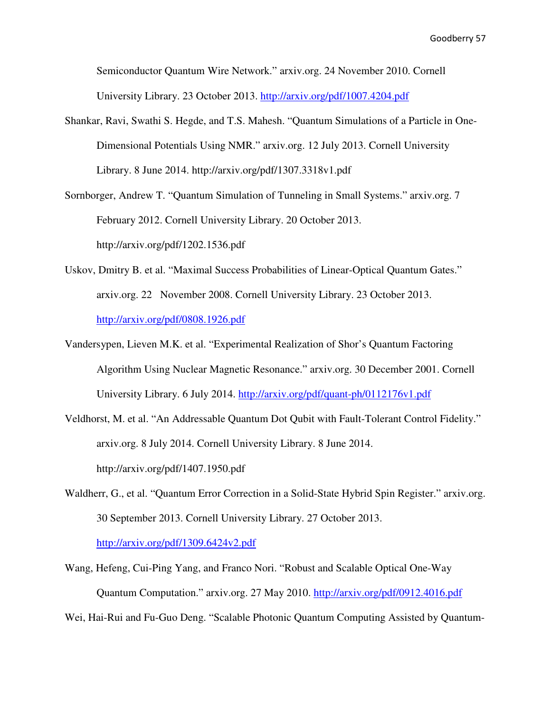Semiconductor Quantum Wire Network." arxiv.org. 24 November 2010. Cornell University Library. 23 October 2013. http://arxiv.org/pdf/1007.4204.pdf

Shankar, Ravi, Swathi S. Hegde, and T.S. Mahesh. "Quantum Simulations of a Particle in One- Dimensional Potentials Using NMR." arxiv.org. 12 July 2013. Cornell University Library. 8 June 2014. http://arxiv.org/pdf/1307.3318v1.pdf

Sornborger, Andrew T. "Quantum Simulation of Tunneling in Small Systems." arxiv.org. 7 February 2012. Cornell University Library. 20 October 2013. http://arxiv.org/pdf/1202.1536.pdf

- Uskov, Dmitry B. et al. "Maximal Success Probabilities of Linear-Optical Quantum Gates." arxiv.org. 22 November 2008. Cornell University Library. 23 October 2013. http://arxiv.org/pdf/0808.1926.pdf
- Vandersypen, Lieven M.K. et al. "Experimental Realization of Shor's Quantum Factoring Algorithm Using Nuclear Magnetic Resonance." arxiv.org. 30 December 2001. Cornell University Library. 6 July 2014. http://arxiv.org/pdf/quant-ph/0112176v1.pdf
- Veldhorst, M. et al. "An Addressable Quantum Dot Qubit with Fault-Tolerant Control Fidelity." arxiv.org. 8 July 2014. Cornell University Library. 8 June 2014. http://arxiv.org/pdf/1407.1950.pdf
- Waldherr, G., et al. "Quantum Error Correction in a Solid-State Hybrid Spin Register." arxiv.org. 30 September 2013. Cornell University Library. 27 October 2013. http://arxiv.org/pdf/1309.6424v2.pdf
- Wang, Hefeng, Cui-Ping Yang, and Franco Nori. "Robust and Scalable Optical One-Way Quantum Computation." arxiv.org. 27 May 2010. http://arxiv.org/pdf/0912.4016.pdf

Wei, Hai-Rui and Fu-Guo Deng. "Scalable Photonic Quantum Computing Assisted by Quantum-